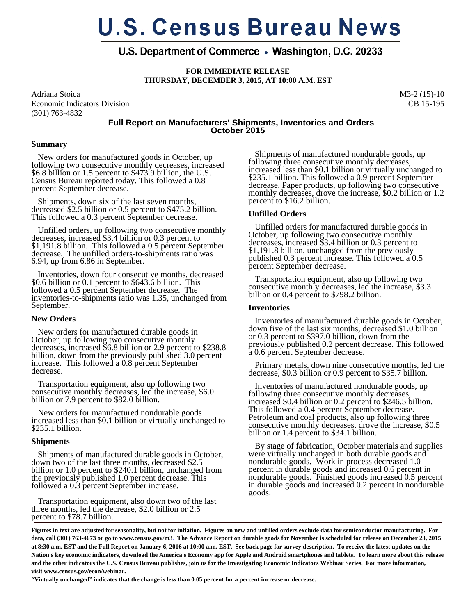# **U.S. Census Bureau News**

# U.S. Department of Commerce • Washington, D.C. 20233

**FOR IMMEDIATE RELEASE THURSDAY, DECEMBER 3, 2015, AT 10:00 A.M. EST** 

Adriana Stoica Economic Indicators Division (301) 763-4832

M3-2 (15)-10 CB 15-195

# **Full Report on Manufacturers' Shipments, Inventories and Orders October 2015**

#### **Summary**

 New orders for manufactured goods in October, up following two consecutive monthly decreases, increased \$6.8 billion or 1.5 percent to \$473.9 billion, the U.S. Census Bureau reported today. This followed a 0.8 percent September decrease.

 Shipments, down six of the last seven months, decreased \$2.5 billion or 0.5 percent to \$475.2 billion. This followed a 0.3 percent September decrease.

 Unfilled orders, up following two consecutive monthly decreases, increased \$3.4 billion or 0.3 percent to \$1,191.8 billion. This followed a 0.5 percent September decrease. The unfilled orders-to-shipments ratio was 6.94, up from 6.86 in September.

 Inventories, down four consecutive months, decreased \$0.6 billion or 0.1 percent to \$643.6 billion. This followed a 0.5 percent September decrease. The inventories-to-shipments ratio was 1.35, unchanged from September.

#### **New Orders**

 New orders for manufactured durable goods in October, up following two consecutive monthly decreases, increased \$6.8 billion or 2.9 percent to \$238.8 billion, down from the previously published 3.0 percent increase. This followed a 0.8 percent September decrease.

 Transportation equipment, also up following two consecutive monthly decreases, led the increase, \$6.0 billion or 7.9 percent to \$82.0 billion.

 New orders for manufactured nondurable goods increased less than \$0.1 billion or virtually unchanged to  $$235.1$  billion.

#### **Shipments**

 Shipments of manufactured durable goods in October, down two of the last three months, decreased \$2.5 billion or 1.0 percent to \$240.1 billion, unchanged from the previously published 1.0 percent decrease. This followed a 0.3 percent September increase.

 Transportation equipment, also down two of the last three months, led the decrease, \$2.0 billion or 2.5 percent to \$78.7 billion.

 Shipments of manufactured nondurable goods, up following three consecutive monthly decreases,<br>increased less than \$0.1 billion or virtually unchanged to \$235.1 billion. This followed a 0.9 percent September decrease. Paper products, up following two consecutive monthly decreases, drove the increase, \$0.2 billion or 1.2 percent to \$16.2 billion.

# **Unfilled Orders**

 Unfilled orders for manufactured durable goods in October, up following two consecutive monthly decreases, increased \$3.4 billion or 0.3 percent to \$1,191.8 billion, unchanged from the previously published 0.3 percent increase. This followed a 0.5 percent September decrease.  $\overline{1}$ 

 Transportation equipment, also up following two consecutive monthly decreases, led the increase, \$3.3 billion or 0.4 percent to \$798.2 billion.

### **Inventories**

 Inventories of manufactured durable goods in October, down five of the last six months, decreased \$1.0 billion or 0.3 percent to \$397.0 billion, down from the previously published 0.2 percent decrease. This followed a 0.6 percent September decrease.

 Primary metals, down nine consecutive months, led the decrease, \$0.3 billion or 0.9 percent to \$35.7 billion.

 Inventories of manufactured nondurable goods, up following three consecutive monthly decreases, increased \$0.4 billion or 0.2 percent to \$246.5 billion. This followed a 0.4 percent September decrease. Petroleum and coal products, also up following three consecutive monthly decreases, drove the increase, \$0.5 billion or 1.4 percent to \$34.1 billion.

 By stage of fabrication, October materials and supplies were virtually unchanged in both durable goods and nondurable goods. Work in process decreased 1.0 percent in durable goods and increased 0.6 percent in nondurable goods. Finished goods increased 0.5 percent in durable goods and increased 0.2 percent in nondurable goods.

**Figures in text are adjusted for seasonality, but not for inflation. Figures on new and unfilled orders exclude data for semiconductor manufacturing. For data, call (301) 763-4673 or go to www.census.gov/m3**. **The Advance Report on durable goods for November is scheduled for release on December 23, 2015 at 8:30 a.m. EST and the Full Report on January 6, 2016 at 10:00 a.m. EST. See back page for survey description. To receive the latest updates on the Nation's key economic indicators, download the America's Economy app for Apple and Android smartphones and tablets. To learn more about this release and the other indicators the U.S. Census Bureau publishes, join us for the Investigating Economic Indicators Webinar Series. For more information, visit www.census.gov/econ/webinar.** 

**"Virtually unchanged" indicates that the change is less than 0.05 percent for a percent increase or decrease.**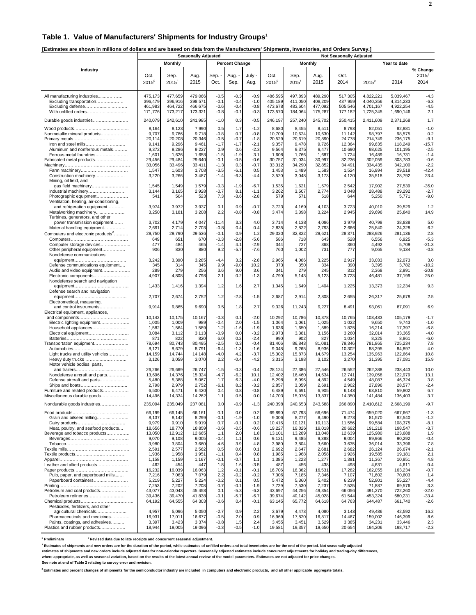#### **Table 1. Value of Manufacturers' Shipments for Industry Groups**<sup>1</sup>

**[Estimates are shown in millions of dollars and are based on data from the Manufacturers' Shipments, Inventories, and Orders Survey.]** 

|                                                                                                                                                                  | <b>Seasonally Adjusted</b>                            |                                                       |                                                       |                                                |                                                       |                                                       | <b>Not Seasonally Adjusted</b>                        |                                                       |                                                       |                                                       |                                                             |                                                             |                                                      |  |
|------------------------------------------------------------------------------------------------------------------------------------------------------------------|-------------------------------------------------------|-------------------------------------------------------|-------------------------------------------------------|------------------------------------------------|-------------------------------------------------------|-------------------------------------------------------|-------------------------------------------------------|-------------------------------------------------------|-------------------------------------------------------|-------------------------------------------------------|-------------------------------------------------------------|-------------------------------------------------------------|------------------------------------------------------|--|
|                                                                                                                                                                  |                                                       | <b>Monthly</b>                                        |                                                       |                                                | <b>Percent Change</b>                                 |                                                       |                                                       |                                                       | <b>Monthly</b>                                        |                                                       |                                                             | Year to date                                                |                                                      |  |
| Industry                                                                                                                                                         | Oct.<br>$2015^p$                                      | Sep.<br>$2015^r$                                      | Aug.<br>2015                                          | Sep. -<br>Oct.                                 | Aug. -<br>Sep.                                        | July -<br>Aug.                                        | Oct.<br>$2015^p$                                      | Sep.<br>$2015$ <sup>r</sup>                           | Aug.<br>2015                                          | Oct.<br>2014                                          | $2015^p$                                                    | 2014                                                        | % Change<br>2015/<br>2014                            |  |
| All manufacturing industries<br>Excluding transportation<br>Excluding defense<br>With unfilled orders                                                            | 475,173<br>396,479<br>461,983<br>171,776              | 477,659<br>396,916<br>464,722<br>173,217              | 479,066<br>398,571<br>466,675<br>173,321              | $-0.5$<br>$-0.1$<br>$-0.6$<br>$-0.8$           | $-0.3$<br>$-0.4$<br>$-0.4$<br>$-0.1$                  | $-0.9$<br>$-1.0$<br>$-0.8$<br>$-0.3$                  | 486,595<br>405,189<br>473,678<br>173,570              | 497,893<br>411,050<br>483,604<br>184,064              | 489,290<br>408,209<br>477,092<br>175,287              | 517,305<br>437,959<br>505,546<br>177,182              | 4.822.221<br>4,040,356<br>4,701,167<br>1,725,345            | 5,039,467<br>4.314.233<br>4,922,254<br>1,690,146            | $-4.3$<br>$-6.3$<br>$-4.5$<br>2.1                    |  |
| Durable goods industries                                                                                                                                         | 240,079                                               | 242,610                                               | 241,985                                               | $-1.0$                                         | 0.3                                                   | $-0.5$                                                | 246,197                                               | 257,240                                               | 245,702                                               | 250,415                                               | 2,411,609                                                   | 2,371,268                                                   | 1.7                                                  |  |
| Nonmetallic mineral products<br>Iron and steel mills                                                                                                             | 8,164<br>9,707<br>20,114<br>9,141                     | 8,123<br>9,786<br>20,208<br>9,296                     | 7,990<br>9,718<br>20,346<br>9,461                     | 0.5<br>$-0.8$<br>$-0.5$<br>$-1.7$              | 1.7<br>0.7<br>$-0.7$<br>$-1.7$                        | $-1.2$<br>$-0.8$<br>$-1.8$<br>$-2.1$                  | 8,680<br>10,709<br>20,529<br>9,357                    | 8,455<br>10,624<br>20,619<br>9,478                    | 8,511<br>10,630<br>20,890<br>9,726                    | 8,793<br>11,142<br>24,778<br>12,364                   | 82,051<br>98,797<br>214,749<br>99,635                       | 82,881<br>98,575<br>236,175<br>118,249                      | $-1.0$<br>0.2<br>$-9.1$<br>$-15.7$                   |  |
| Aluminum and nonferrous metals<br>Ferrous metal foundries<br>Fabricated metal products<br>Farm machinery                                                         | 9,372<br>1,601<br>29,456<br>33,056<br>1,547           | 9,286<br>1,626<br>29,484<br>33,496<br>1,603           | 9,227<br>1,658<br>29,640<br>33,411<br>1,708           | 0.9<br>$-1.5$<br>$-0.1$<br>$-1.3$<br>$-3.5$    | 0.6<br>$-1.9$<br>$-0.5$<br>0.3<br>$-6.1$              | $-2.3$<br>3.1<br>$-0.6$<br>$-0.7$<br>0.5              | 9,564<br>1,608<br>30,757<br>33,312<br>1,453           | 9,375<br>1,766<br>31,034<br>34,290<br>1,489           | 9,477<br>1,687<br>30,997<br>32,852<br>1,583           | 10,690<br>1,724<br>32,236<br>34,491<br>1,524          | 98,625<br>16,489<br>302,059<br>334,435<br>16,994            | 101,195<br>16,731<br>303,783<br>342,100<br>29,518           | $-2.5$<br>$-1.4$<br>$-0.6$<br>$-2.2$<br>$-42.4$      |  |
| Construction machinery<br>Mining, oil field, and<br>gas field machinery<br>Industrial machinery                                                                  | 3,220<br>1,545<br>3,144                               | 3,266<br>1,549<br>3,165                               | 3,487<br>1,579<br>2,928                               | $-1.4$<br>$-0.3$<br>$-0.7$                     | $-6.3$<br>$-1.9$<br>8.1                               | $-4.4$<br>$-6.7$<br>$-1.1$                            | 3,520<br>1,535<br>3,262                               | 3,048<br>1,621<br>3,507                               | 3,173<br>1,579<br>2,774                               | 4,120<br>2,542<br>3,048                               | 35,518<br>17,902<br>28,488                                  | 28,792<br>27,539<br>29,292                                  | 23.4<br>$-35.0$<br>$-2.7$                            |  |
| Photographic equipment<br>Ventilation, heating, air-conditioning,<br>and refrigeration equipment<br>Metalworking machinery                                       | 541<br>3,974<br>3,250                                 | 504<br>3,972<br>3,181                                 | 523<br>3,937<br>3,208                                 | 7.3<br>0.1<br>2.2                              | $-3.6$<br>0.9<br>$-0.8$                               | $-2.8$<br>$-0.7$<br>$-0.8$                            | 579<br>3,723<br>3,474                                 | 571<br>4,169<br>3,398                                 | 518<br>4,103<br>3,224                                 | 644<br>3,723<br>2,945                                 | 5,250<br>40,010<br>29,696                                   | 5,771<br>39,529<br>25,840                                   | $-9.0$<br>1.2<br>14.9                                |  |
| Turbines, generators, and other<br>power transmission equipment<br>Material handling equipment<br>Computers and electronic products <sup>2</sup>                 | 3,702<br>2,691<br>29,750<br>649                       | 4,179<br>2,714<br>29,790<br>651                       | 4,047<br>2,703<br>29,536<br>670                       | -11.4<br>$-0.8$<br>$-0.1$<br>$-0.3$            | 3.3<br>0.4<br>0.9<br>$-2.8$                           | 4.0<br>0.4<br>1.2<br>$-5.6$                           | 3,714<br>2,835<br>29,320<br>586                       | 4,138<br>2,822<br>32,822<br>718                       | 4,086<br>2,793<br>29,621<br>643                       | 3,979<br>2,666<br>28,371<br>528                       | 40,798<br>25,840<br>288,926<br>6,556                        | 38,838<br>24,328<br>281,136<br>6.925                        | 5.0<br>6.2<br>2.8<br>$-5.3$                          |  |
| Computer storage devices<br>Other peripheral equipment<br>Nondefense communications                                                                              | 477<br>906<br>3,242                                   | 484<br>830<br>3,390                                   | 465<br>880<br>3,285                                   | $-1.4$<br>9.2<br>$-4.4$                        | 4.1<br>$-5.7$<br>3.2                                  | $-2.9$<br>$-7.6$<br>$-2.8$                            | 344<br>760<br>2,965                                   | 727<br>1,002<br>4,086                                 | 368<br>731<br>3,225                                   | 360<br>777<br>2,917                                   | 4,492<br>9,065<br>33,033                                    | 5,709<br>9,134<br>32,073                                    | $-21.3$<br>$-0.8$<br>3.0                             |  |
| Defense communications equipment<br>Audio and video equipment<br>Electronic components<br>Nondefense search and navigation                                       | 345<br>289<br>4,907                                   | 314<br>279<br>4,808                                   | 345<br>256<br>4,798                                   | 9.9<br>3.6<br>2.1                              | $-9.0$<br>9.0<br>0.2                                  | 10.2<br>3.6<br>$-1.3$                                 | 373<br>341<br>4,790                                   | 350<br>279<br>5,143                                   | 334<br>245<br>5,123                                   | 390<br>312<br>3,723                                   | 3,395<br>2,368<br>46,481                                    | 3,782<br>2,991<br>37,199                                    | $-10.2$<br>$-20.8$<br>25.0                           |  |
| Defense search and navigation                                                                                                                                    | 1,433                                                 | 1,416                                                 | 1,394                                                 | 1.2                                            | 1.6                                                   | 2.7                                                   | 1,345                                                 | 1,649                                                 | 1,404                                                 | 1,225                                                 | 13,373                                                      | 12,234                                                      | 9.3                                                  |  |
| Electromedical, measuring,<br>and control instruments                                                                                                            | 2,707<br>9,914                                        | 2,674<br>9,865                                        | 2,752<br>9,690                                        | 1.2<br>0.5                                     | $-2.8$<br>1.8                                         | $-1.5$<br>2.7                                         | 2,687<br>9,326                                        | 2,914<br>11,243                                       | 2,808<br>9,227                                        | 2,655<br>8,491                                        | 26,317<br>93,061                                            | 25,678<br>87,091                                            | 2.5<br>6.9                                           |  |
| Electrical equipment, appliances,                                                                                                                                | 10,142                                                | 10,175                                                | 10,167                                                | $-0.3$                                         | 0.1                                                   | $-2.0$                                                | 10,292                                                | 10,786                                                | 10,378                                                | 10,765                                                | 103,433                                                     | 105,179                                                     | $-1.7$                                               |  |
| Electric lighting equipment<br>Household appliances                                                                                                              | 1,005<br>1,582<br>3,084<br>871                        | 1,009<br>1,564<br>3,112<br>822                        | 989<br>1,589<br>3,113<br>820                          | $-0.4$<br>1.2<br>$-0.9$<br>6.0                 | 2.0<br>$-1.6$<br>0.0<br>0.2                           | $-1.5$<br>$-1.9$<br>$-3.2$<br>$-2.4$                  | 1,064<br>1,636<br>2,973<br>990                        | 1,061<br>1,650<br>3,381<br>902                        | 1,025<br>1,589<br>3,156<br>827                        | 1,022<br>1,825<br>3,260<br>1,034                      | 9,650<br>16,214<br>32,014<br>8,325                          | 9,743<br>17,397<br>33,365<br>8,861                          | $-1.0$<br>$-6.8$<br>$-4.0$<br>$-6.0$                 |  |
| Transportation equipment<br>Light trucks and utility vehicles<br>Heavy duty trucks<br>Motor vehicle bodies, parts,                                               | 78,694<br>8,121<br>14,159<br>3,126                    | 80,743<br>8,679<br>14,744<br>3,059                    | 80,495<br>8,791<br>14,148<br>3,070                    | $-2.5$<br>$-6.4$<br>$-4.0$<br>2.2              | 0.3<br>$-1.3$<br>4.2<br>$-0.4$                        | $-0.4$<br>$-1.6$<br>$-3.7$<br>$-4.2$                  | 81,406<br>9,048<br>15,302<br>3,315                    | 86,843<br>9,265<br>15,873<br>3,198                    | 81,081<br>8,936<br>14,679<br>3,102                    | 79,346<br>10,302<br>13,254<br>3,270                   | 781,865<br>88,295<br>135,963<br>31,395                      | 725,234<br>84,897<br>122,664<br>27,081                      | 7.8<br>4.0<br>10.8<br>15.9                           |  |
| Nondefense aircraft and parts<br>Defense aircraft and parts<br>Furniture and related products                                                                    | 26,266<br>13,696<br>5,480<br>2,798<br>6,500           | 26,669<br>14,376<br>5,388<br>2,979<br>6,471           | 26,747<br>15,324<br>5,067<br>2,752<br>6,420           | -1.5<br>$-4.7$<br>1.7<br>$-6.1$<br>0.4         | $-0.3$<br>$-6.2$<br>6.3<br>8.2<br>0.8                 | $-0.4$<br>10.1<br>$-4.0$<br>$-3.2$<br>$-0.8$          | 28,124<br>12,402<br>5,298<br>2,857<br>6,489           | 27,386<br>16,460<br>6,096<br>3,059<br>6,691           | 27,546<br>14,634<br>4,892<br>2,691<br>6,905           | 26,552<br>12,741<br>4,549<br>2,902<br>6,143           | 262,388<br>139,058<br>48,087<br>27,896<br>63,810            | 238,443<br>122,979<br>46,324<br>28,577<br>59,802            | 10.0<br>13.1<br>3.8<br>$-2.4$<br>6.7                 |  |
| Miscellaneous durable goods                                                                                                                                      | 14,496                                                | 14,334                                                | 14,262                                                | 1.1                                            | 0.5                                                   | 0.0                                                   | 14,703                                                | 15,076                                                | 13,837                                                | 14,350                                                | 141,484                                                     | 136,403                                                     | 3.7                                                  |  |
| Nondurable goods industries<br>Grain and oilseed milling                                                                                                         | 235,094<br>66,199<br>8,137                            | 235,049<br>66,145<br>8,142                            | 237,081<br>66,161<br>8,299                            | 0.0<br>0.1<br>$-0.1$                           | -0.9<br>0.0<br>$-1.9$                                 | $-1.3$<br>0.2<br>$-1.0$                               | 240,398<br>69,890<br>9,006                            | 240,653<br>67,793<br>8,277                            | 243,588<br>66,696<br>8,490                            | 266,890<br>71,474<br>9,273                            | 2,410,612<br>659,020<br>81,570                              | 2,668,199<br>667,667<br>82,540                              | $-9.7$<br>$-1.3$<br>$-1.2$                           |  |
| Meat, poultry, and seafood products<br>Beverage and tobacco products                                                                                             | 9,979<br>18,656<br>13,050<br>9,070                    | 9,910<br>18,770<br>12,912<br>9,108                    | 9,919<br>18,859<br>12,665<br>9,005                    | 0.7<br>$-0.6$<br>1.1<br>$-0.4$                 | $-0.1$<br>$-0.5$<br>2.0<br>1.1                        | 0.2<br>$-0.6$<br>1.8<br>0.6                           | 10,416<br>19,227<br>13,101<br>9,121                   | 10,121<br>19,026<br>13,289<br>9,485                   | 10,113<br>19,018<br>13,048<br>9,388                   | 11,556<br>20,692<br>12,639<br>9,004                   | 99,584<br>191,218<br>125,980<br>89,966                      | 108.375<br>198,547<br>123.688<br>90,292                     | $-8.1$<br>$-3.7$<br>1.9<br>$-0.4$                    |  |
| Leather and allied products                                                                                                                                      | 3,980<br>2,591<br>1,936<br>1,158<br>462               | 3,804<br>2,577<br>1,958<br>1,159<br>454               | 3,660<br>2,562<br>1,951<br>1,167<br>447               | 4.6<br>0.5<br>$-1.1$<br>$-0.1$<br>1.8          | 3.9<br>0.6<br>0.4<br>$-0.7$<br>1.6                    | 4.8<br>0.1<br>0.8<br>1.1<br>$-3.5$                    | 3,980<br>2,692<br>1,985<br>1,385<br>487               | 3,804<br>2,647<br>1,968<br>1,223<br>456               | 3,660<br>2,681<br>2,058<br>1,277<br>438               | 3,635<br>2,682<br>1,926<br>1,391<br>498               | 36,014<br>26,124<br>19,585<br>11,367<br>4,631               | 33,396<br>26,674<br>19,181<br>10,851<br>4,611               | 7.8<br>$-2.1$<br>2.1<br>4.8<br>0.4                   |  |
| Pulp, paper, and paperboard mills<br>Paperboard containers<br>Petroleum and coal products<br>Petroleum refineries                                                | 16,232<br>7,216<br>5,219<br>7,253<br>43,077<br>39,436 | 16,039<br>7,063<br>5,227<br>7,202<br>43,043<br>39,470 | 16,063<br>7,079<br>5,224<br>7,208<br>45,458<br>41,838 | 1.2<br>2.2<br>$-0.2$<br>0.7<br>0.1<br>$-0.1$   | $-0.1$<br>$-0.2$<br>0.1<br>$-0.1$<br>$-5.3$<br>$-5.7$ | $-0.1$<br>$-0.2$<br>0.5<br>$-1.9$<br>$-6.3$<br>$-6.7$ | 16,706<br>7,306<br>5,472<br>7,729<br>43,697<br>39,674 | 16,362<br>7,185<br>5,360<br>7,530<br>44,256<br>40,142 | 16,531<br>7,346<br>5,402<br>7,237<br>49,354<br>45,028 | 17,282<br>7,107<br>6,239<br>7,525<br>66,056<br>61,544 | 162,055<br>71,602<br>52,801<br>71,887<br>491,270<br>453,324 | 163,234<br>70,603<br>55,227<br>69,576<br>722,260<br>680,231 | $-0.7$<br>1.4<br>$-4.4$<br>3.3<br>$-32.0$<br>$-33.4$ |  |
| Pesticides, fertilizers, and other<br>agricultural chemicals<br>Pharmaceuticals and medicines<br>Paints, coatings, and adhesives<br>Plastics and rubber products | 64,192<br>4,957<br>16,931<br>3,397<br>18,944          | 64,555<br>5,096<br>17,011<br>3,423<br>19,005          | 64,303<br>5,050<br>16,677<br>3,374<br>19,096          | $-0.6$<br>$-2.7$<br>$-0.5$<br>$-0.8$<br>$-0.3$ | 0.4<br>0.9<br>2.0<br>1.5<br>$-0.5$                    | $-0.1$<br>2.2<br>0.9<br>2.4<br>$-1.0$                 | 63,145<br>3,679<br>16,969<br>3,455<br>19,581          | 65,772<br>4,473<br>17,820<br>3,451<br>19,357          | 64,618<br>4,080<br>16,817<br>3,529<br>19,650          | 64,763<br>3,143<br>14,467<br>3,385<br>20,654          | 644,487<br>49,486<br>159,002<br>34,231<br>194,206           | 661,740<br>42,592<br>146,399<br>33,446<br>198,717           | $-2.6$<br>16.2<br>8.6<br>2.3<br>$-2.3$               |  |

<sup>p</sup> Preliminary  **Preliminary r Revised data due to late receipts and concurrent seasonal adjustment.**

**1 Estimates of shipments and new orders are for the duration of the period, while estimates of unfilled orders and total inventories are for the end of the period. Not seasonally adjusted** 

estimates of shipments and new orders include adjusted data for non-calendar reporters. Seasonally adjusted estimates include concurrent adjustments for holiday and trading-day differences,<br>where appropriate, as well as se

**See note at end of Table 2 relating to survey error and revision.**

<sup>2</sup> Estimates and percent changes of shipments for the semiconductor industry are included in computers and electronic products, and all other applicable aggregate totals.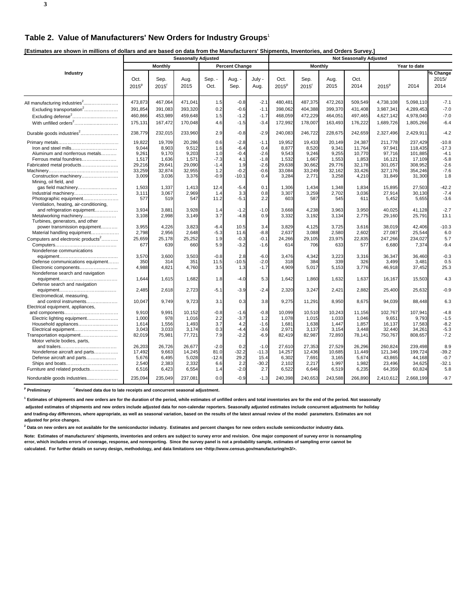**3**

**[Estimates are shown in millions of dollars and are based on data from the Manufacturers' Shipments, Inventories, and Orders Survey.]** 

|                                                                   |                  |                             | <b>Seasonally Adjusted</b> |                |                       |                | <b>Not Seasonally Adjusted</b> |                           |              |              |                   |              |                           |
|-------------------------------------------------------------------|------------------|-----------------------------|----------------------------|----------------|-----------------------|----------------|--------------------------------|---------------------------|--------------|--------------|-------------------|--------------|---------------------------|
|                                                                   |                  | <b>Monthly</b>              |                            |                | <b>Percent Change</b> |                |                                | Monthly                   |              |              |                   | Year to date |                           |
| Industry                                                          | Oct.<br>$2015^p$ | Sep.<br>$2015$ <sup>r</sup> | Aug.<br>2015               | Sep. -<br>Oct. | Aug. -<br>Sep.        | July -<br>Aug. | Oct.<br>$2015^p$               | Sep.<br>2015 <sup>r</sup> | Aug.<br>2015 | Oct.<br>2014 | 2015 <sup>p</sup> | 2014         | % Change<br>2015/<br>2014 |
|                                                                   | 473,873          | 467,064                     | 471,041                    | 1.5            | $-0.8$                | $-2.1$         | 480,481                        | 487,375                   | 472,263      | 509,549      | 4,738,108         | 5,098,110    | $-7.1$                    |
| Excluding transportation <sup>2</sup>                             | 391,854          | 391,083                     | 393,320                    | 0.2            | $-0.6$                | $-1.1$         | 398,062                        | 404,388                   | 399,370      | 431,408      | 3,987,341         | 4,289,453    | $-7.0$                    |
| Excluding defense <sup>2</sup>                                    | 460,866          | 453,989                     | 459,648                    | 1.5            | $-1.2$                | $-1.7$         | 468,059                        | 472,229                   | 464,051      | 497,465      | 4,627,142         | 4,978,040    | $-7.0$                    |
| With unfilled orders <sup>2</sup>                                 | 175,131          | 167,472                     | 170,048                    | 4.6            | $-1.5$                | $-3.4$         | 172,992                        | 178,007                   | 163,493      | 176,222      | 1,689,726         | 1,805,266    | $-6.4$                    |
| Durable goods industries <sup>2</sup>                             | 238,779          | 232,015                     | 233,960                    | 2.9            | $-0.8$                | $-2.9$         | 240,083                        | 246,722                   | 228,675      | 242,659      | 2,327,496         | 2,429,911    | $-4.2$                    |
|                                                                   | 19,822           | 19,709                      | 20,286                     | 0.6            | $-2.8$                | $-1.1$         | 19,952                         | 19,433                    | 20,149       | 24,387       | 211,778           | 237,429      | $-10.8$                   |
| Iron and steel mills                                              | 9,044            | 8,903                       | 9,512                      | 1.6            | $-6.4$                | 0.4            | 8,877                          | 8,520                     | 9,341        | 11,764       | 97,941            | 118,435      | $-17.3$                   |
| Aluminum and nonferrous metals                                    | 9,261            | 9,170                       | 9,203                      | 1.0            | $-0.4$                | $-2.6$         | 9,543                          | 9,246                     | 9,255        | 10,770       | 97,716            | 101,885      | $-4.1$                    |
| Ferrous metal foundries                                           | 1,517            | 1,636                       | 1,571                      | $-7.3$         | 4.1                   | $-1.8$         | 1,532                          | 1,667                     | 1,553        | 1,853        | 16,121            | 17,109       | $-5.8$                    |
| Fabricated metal products                                         | 29,216           | 29,641                      | 29,090                     | $-1.4$         | 1.9                   | $-2.6$         | 29,638                         | 30,662                    | 29,776       | 32,178       | 301,057           | 308,952      | $-2.6$                    |
|                                                                   | 33,259           | 32,874                      | 32,955                     | 1.2            | $-0.2$                | $-0.6$         | 33,084                         | 33,249                    | 32,162       | 33,426       | 327,176           | 354,246      | $-7.6$                    |
| Construction machinery<br>Mining, oil field, and                  | 3,009            | 3,036                       | 3,376                      | $-0.9$         | $-10.1$               | 0.4            | 3,284                          | 2,771                     | 3,258        | 4,210        | 31,849            | 31,300       | 1.8                       |
| gas field machinery                                               | 1,503            | 1,337                       | 1,413                      | 12.4           | $-5.4$                | 0.1            | 1,306                          | 1,434                     | 1,348        | 1,834        | 15,895            | 27,503       | $-42.2$                   |
| Industrial machinery                                              | 3,111            | 3,067                       | 2,969                      | 1.4            | 3.3                   | 0.8            | 3,307                          | 3,259                     | 2,702        | 3,036        | 27,914            | 30,130       | $-7.4$                    |
| Photographic equipment<br>Ventilation, heating, air-conditioning, | 577              | 519                         | 547                        | 11.2           | $-5.1$                | 2.2            | 603                            | 587                       | 545          | 611          | 5,452             | 5,655        | $-3.6$                    |
| and refrigeration equipment                                       | 3,934            | 3,881                       | 3,928                      | 1.4            | $-1.2$                | $-1.0$         | 3,668                          | 4,238                     | 3,963        | 3,950        | 40,025            | 41,128       | $-2.7$                    |
| Metalworking machinery                                            | 3,108            | 2,998                       | 3.149                      | 3.7            | $-4.8$                | 0.9            | 3,332                          | 3,192                     | 3,134        | 2,775        | 29,160            | 25,791       | 13.1                      |
| Turbines, generators, and other                                   |                  |                             |                            |                |                       |                |                                |                           |              |              |                   |              |                           |
| power transmission equipment                                      | 3,955            | 4,226                       | 3,823                      | $-6.4$         | 10.5                  | 3.4            | 3,829                          | 4,125                     | 3,725        | 3,616        | 38,019            | 42,406       | $-10.3$                   |
| Material handling equipment                                       | 2,798            | 2,956                       | 2,648                      | $-5.3$         | 11.6                  | $-8.8$         | 2,637                          | 3,088                     | 2,580        | 2,602        | 27,087            | 25,544       | 6.0                       |
| Computers and electronic products <sup>2</sup>                    | 25,659           | 25,178                      | 25,252                     | 1.9            | $-0.3$                | $-0.1$         | 24,266                         | 29,105                    | 23,975       | 22,835       | 247,266           | 234,027      | 5.7                       |
|                                                                   | 677              | 639                         | 660                        | 5.9            | $-3.2$                | $-1.6$         | 614                            | 706                       | 633          | 577          | 6,680             | 7,374        | $-9.4$                    |
| Nondefense communications                                         |                  |                             |                            |                |                       |                |                                |                           |              |              |                   |              |                           |
|                                                                   | 3,570            | 3,600                       | 3,503                      | $-0.8$         | 2.8                   | $-6.0$         | 3.476                          | 4,342                     | 3,223        | 3,316        | 36.347            | 36.460       | $-0.3$                    |
| Defense communications equipment                                  | 350              | 314                         | 351                        | 11.5           | $-10.5$               | $-2.0$         | 318                            | 384                       | 339          | 326          | 3,499             | 3,481        | 0.5                       |
| Electronic components                                             | 4,988            | 4,821                       | 4,760                      | 3.5            | 1.3                   | $-1.7$         | 4,909                          | 5,017                     | 5,153        | 3,776        | 46,918            | 37,452       | 25.3                      |
| Nondefense search and navigation                                  |                  |                             |                            |                |                       |                |                                |                           |              |              |                   |              |                           |
|                                                                   | 1,644            | 1,615                       | 1,682                      | 1.8            | $-4.0$                | 5.3            | 1,642                          | 1,860                     | 1,632        | 1,637        | 16,167            | 15,503       | 4.3                       |
| Defense search and navigation                                     |                  |                             |                            |                |                       |                |                                |                           |              |              |                   |              |                           |
|                                                                   | 2,485            | 2,618                       | 2,723                      | $-5.1$         | $-3.9$                | $-2.4$         | 2,320                          | 3,247                     | 2,421        | 2,882        | 25,400            | 25,632       | $-0.9$                    |
| Electromedical, measuring,                                        |                  |                             |                            |                |                       |                |                                |                           |              |              |                   |              |                           |
| and control instruments                                           | 10,047           | 9,749                       | 9,723                      | 3.1            | 0.3                   | 3.8            | 9,275                          | 11,291                    | 8,950        | 8,675        | 94,039            | 88,448       | 6.3                       |
| Electrical equipment, appliances,                                 |                  |                             |                            |                |                       |                |                                |                           |              |              |                   |              |                           |
|                                                                   | 9,910            | 9,991                       | 10,152                     | $-0.8$         | $-1.6$                | $-0.8$         | 10,099                         | 10,510                    | 10,243       | 11,156       | 102,767           | 107,941      | $-4.8$                    |
| Electric lighting equipment                                       | 1,000            | 978                         | 1,016                      | 2.2            | $-3.7$                | 1.2            | 1,078                          | 1,015                     | 1,033        | 1,046        | 9,651             | 9,793        | $-1.5$                    |
| Household appliances                                              | 1,614            | 1,556                       | 1,493                      | 3.7            | 4.2                   | $-1.6$         | 1,681                          | 1,638                     | 1,447        | 1,857        | 16,137            | 17,583       | $-8.2$                    |
| Electrical equipment                                              | 3,043            | 3,033                       | 3,174                      | 0.3            | $-4.4$                | $-3.6$         | 2,971                          | 3,137                     | 3,154        | 3,448        | 32,440            | 34,261       | $-5.3$                    |
| Transportation equipment                                          | 82,019           | 75,981                      | 77,721                     | 7.9            | $-2.2$                | $-6.9$         | 82,419                         | 82,987                    | 72,893       | 78,141       | 750,767           | 808,657      | $-7.2$                    |
| Motor vehicle bodies, parts,                                      |                  |                             |                            |                |                       |                |                                |                           |              |              |                   |              |                           |
|                                                                   | 26,203           | 26,726                      | 26,677                     | $-2.0$         | 0.2                   | $-1.0$         | 27,610                         | 27,353                    | 27,529       | 26,296       | 260,824           | 239,498      | 8.9                       |
| Nondefense aircraft and parts                                     | 17,492           | 9,663                       | 14,245                     | 81.0           | $-32.2$               | $-11.3$        | 14,257                         | 12,436                    | 10,685       | 11,449       | 121,346           | 199,724      | $-39.2$                   |
| Defense aircraft and parts                                        | 5,676            | 6,495                       | 5,028                      | $-12.6$        | 29.2                  | 15.4           | 6,302                          | 7,691                     | 3,165        | 5,674        | 43,865            | 44,168       | $-0.7$                    |
|                                                                   | 2,540            | 2,383                       | 2,332                      | 6.6            | 2.2                   | $-30.2$        | 2,102                          | 2,217                     | 1,997        | 1,982        | 23,496            | 34,625       | $-32.1$                   |
| Furniture and related products                                    | 6,516            | 6,423                       | 6,554                      | 1.4            | $-2.0$                | 2.7            | 6,522                          | 6,646                     | 6,519        | 6,235        | 64,359            | 60,824       | 5.8                       |
| Nondurable goods industries                                       | 235,094          | 235,049                     | 237,081                    | 0.0            | $-0.9$                | $-1.3$         | 240,398                        | 240,653                   | 243,588      | 266,890      | 2,410,612         | 2,668,199    | $-9.7$                    |
|                                                                   |                  |                             |                            |                |                       |                |                                |                           |              |              |                   |              |                           |

<sup>p</sup> Preliminary <sup>r</sup> Revised data due to late receipts and concurrent seasonal adjustment.

**1 Estimates of shipments and new orders are for the duration of the period, while estimates of unfilled orders and total inventories are for the end of the period. Not seasonally**

 **adjusted estimates of shipments and new orders include adjusted data for non-calendar reporters. Seasonally adjusted estimates include concurrent adjustments for holiday and trading-day differences, where appropriate, as well as seasonal variation, based on the results of the latest annual review of the model parameters. Estimates are not adjusted for price changes.**

**2 Data on new orders are not available for the semiconductor industry. Estimates and percent changes for new orders exclude semiconductor industry data.**

**Note: Estimates of manufacturers' shipments, inventories and orders are subject to survey error and revision. One major component of survey error is nonsampling error, which includes errors of coverage, response, and nonreporting. Since the survey panel is not a probability sample, estimates of sampling error cannot be calculated. For further details on survey design, methodology, and data limitations see <http://www.census.gov/manufacturing/m3/>.**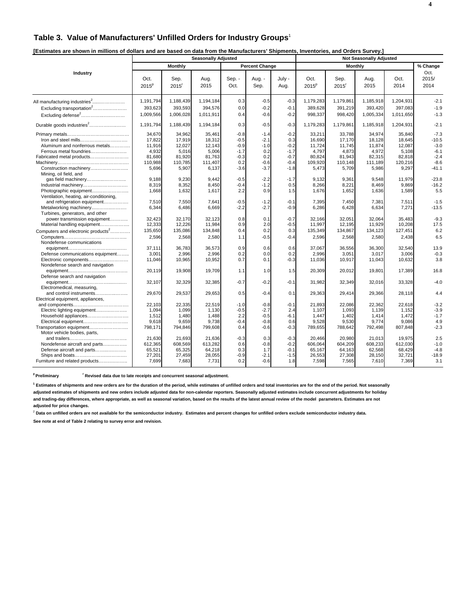## **Table 3. Value of Manufacturers' Unfilled Orders for Industry Groups**<sup>1</sup>

| [Estimates are shown in millions of dollars and are based on data from the Manufacturers' Shipments, Inventories, and Orders Survey.] |
|---------------------------------------------------------------------------------------------------------------------------------------|
|---------------------------------------------------------------------------------------------------------------------------------------|

|                                                                                                                                            | <b>Seasonally Adjusted</b>                                        |                                                                   |                                                                   |                                                                 |                                                              |                                                                 |                                                                   | <b>Not Seasonally Adjusted</b>                                    |                                                                   |                                                                   |                                                                      |  |  |
|--------------------------------------------------------------------------------------------------------------------------------------------|-------------------------------------------------------------------|-------------------------------------------------------------------|-------------------------------------------------------------------|-----------------------------------------------------------------|--------------------------------------------------------------|-----------------------------------------------------------------|-------------------------------------------------------------------|-------------------------------------------------------------------|-------------------------------------------------------------------|-------------------------------------------------------------------|----------------------------------------------------------------------|--|--|
|                                                                                                                                            |                                                                   | Monthly                                                           |                                                                   |                                                                 | <b>Percent Change</b>                                        |                                                                 |                                                                   | Monthly                                                           |                                                                   |                                                                   | % Change                                                             |  |  |
| Industry                                                                                                                                   | Oct.<br>$2015^p$                                                  | Sep.<br>2015 <sup>r</sup>                                         | Aug.<br>2015                                                      | Sep. -<br>Oct.                                                  | Aug. -<br>Sep.                                               | July -<br>Aug.                                                  | Oct.<br>2015 <sup>p</sup>                                         | Sep.<br>2015 <sup>r</sup>                                         | Aug.<br>2015                                                      | Oct.<br>2014                                                      | Oct.<br>2015/<br>2014                                                |  |  |
| All manufacturing industries <sup>2</sup><br>Excluding transportation <sup>2</sup>                                                         | 1,191,794<br>393,623                                              | 1,188,439<br>393,593                                              | 1,194,184<br>394.576                                              | 0.3<br>0.0                                                      | $-0.5$<br>$-0.2$                                             | $-0.3$<br>$-0.1$                                                | 1,179,283<br>389,628                                              | 1,179,861<br>391,219                                              | 1,185,918<br>393.420                                              | 1,204,931<br>397.083                                              | $-2.1$<br>$-1.9$                                                     |  |  |
| Excluding defense <sup>2</sup>                                                                                                             | 1,009,566                                                         | 1,006,028                                                         | 1,011,911                                                         | 0.4                                                             | $-0.6$                                                       | $-0.2$                                                          | 998,337                                                           | 998,420                                                           | 1,005,334                                                         | 1,011,650                                                         | $-1.3$                                                               |  |  |
| Durable goods industries <sup>2</sup>                                                                                                      | 1,191,794                                                         | 1,188,439                                                         | 1,194,184                                                         | 0.3                                                             | $-0.5$                                                       | $-0.3$                                                          | 1,179,283                                                         | 1,179,861                                                         | 1,185,918                                                         | 1,204,931                                                         | $-2.1$                                                               |  |  |
| Aluminum and nonferrous metals<br>Ferrous metal foundries<br>Fabricated metal products<br>Construction machinery                           | 34,670<br>17,822<br>11,916<br>4.932<br>81,680<br>110,988<br>5,696 | 34,962<br>17,919<br>12,027<br>5,016<br>81,920<br>110,785<br>5,907 | 35,461<br>18,312<br>12,143<br>5,006<br>81,763<br>111,407<br>6,137 | $-0.8$<br>$-0.5$<br>$-0.9$<br>$-1.7$<br>$-0.3$<br>0.2<br>$-3.6$ | $-1.4$<br>$-2.1$<br>$-1.0$<br>0.2<br>0.2<br>$-0.6$<br>$-3.7$ | $-0.2$<br>0.3<br>$-0.2$<br>$-1.7$<br>$-0.7$<br>$-0.4$<br>$-1.8$ | 33,211<br>16,690<br>11,724<br>4,797<br>80,824<br>109,920<br>5,473 | 33,788<br>17,170<br>11,745<br>4,873<br>81,943<br>110,148<br>5,709 | 34,974<br>18,128<br>11,874<br>4,972<br>82,315<br>111,189<br>5,986 | 35,840<br>18,645<br>12,087<br>5,108<br>82,818<br>120.216<br>9,297 | $-7.3$<br>$-10.5$<br>$-3.0$<br>$-6.1$<br>$-2.4$<br>$-8.6$<br>$-41.1$ |  |  |
| Mining, oil field, and<br>gas field machinery<br>Industrial machinery<br>Photographic equipment<br>Ventilation, heating, air-conditioning, | 9.188<br>8,319<br>1,668                                           | 9,230<br>8,352<br>1,632                                           | 9.442<br>8,450<br>1,617                                           | $-0.5$<br>$-0.4$<br>2.2                                         | $-2.2$<br>$-1.2$<br>0.9                                      | $-1.7$<br>0.5<br>1.5                                            | 9.132<br>8,266<br>1,676                                           | 9,361<br>8,221<br>1,652                                           | 9.548<br>8.469<br>1,636                                           | 11.979<br>9,869<br>1,589                                          | $-23.8$<br>$-16.2$<br>5.5                                            |  |  |
| and refrigeration equipment<br>Metalworking machinery<br>Turbines, generators, and other                                                   | 7,510<br>6,344                                                    | 7,550<br>6,486                                                    | 7,641<br>6,669                                                    | $-0.5$<br>$-2.2$                                                | $-1.2$<br>$-2.7$                                             | $-0.1$<br>$-0.9$                                                | 7,395<br>6,286                                                    | 7,450<br>6,428                                                    | 7,381<br>6,634                                                    | 7,511<br>7,271                                                    | $-1.5$<br>$-13.5$                                                    |  |  |
| power transmission equipment<br>Material handling equipment<br>Computers and electronic products <sup>2</sup>                              | 32,423<br>12,333<br>135,650                                       | 32,170<br>12,226<br>135,086                                       | 32,123<br>11,984<br>134,848                                       | 0.8<br>0.9<br>0.4                                               | 0.1<br>2.0<br>0.2                                            | $-0.7$<br>$-0.5$<br>0.3                                         | 32,166<br>11,997<br>135,349                                       | 32,051<br>12,195<br>134,867                                       | 32,064<br>11,929<br>134,123                                       | 35,483<br>10,208<br>127,451                                       | $-9.3$<br>17.5<br>6.2                                                |  |  |
| Nondefense communications                                                                                                                  | 2,596                                                             | 2,568                                                             | 2,580                                                             | 1.1                                                             | $-0.5$                                                       | $-0.4$                                                          | 2,596                                                             | 2,568                                                             | 2,580                                                             | 2,438                                                             | 6.5                                                                  |  |  |
| Defense communications equipment<br>Electronic components<br>Nondefense search and navigation                                              | 37,111<br>3,001<br>11,046                                         | 36,783<br>2,996<br>10,965                                         | 36,573<br>2,996<br>10,952                                         | 0.9<br>0.2<br>0.7                                               | 0.6<br>0.0<br>0.1                                            | 0.6<br>0.2<br>$-0.3$                                            | 37,067<br>2,996<br>11,036                                         | 36,556<br>3,051<br>10,917                                         | 36,300<br>3,017<br>11,043                                         | 32,540<br>3,006<br>10,632                                         | 13.9<br>$-0.3$<br>3.8                                                |  |  |
| Defense search and navigation                                                                                                              | 20.119                                                            | 19,908                                                            | 19,709                                                            | 1.1                                                             | 1.0                                                          | 1.5                                                             | 20,309                                                            | 20,012                                                            | 19,801                                                            | 17,389                                                            | 16.8                                                                 |  |  |
| Electromedical, measuring,                                                                                                                 | 32,107                                                            | 32,329                                                            | 32,385                                                            | $-0.7$                                                          | $-0.2$                                                       | $-0.1$                                                          | 31,982                                                            | 32,349                                                            | 32,016                                                            | 33,328                                                            | $-4.0$                                                               |  |  |
| and control instruments<br>Electrical equipment, appliances,                                                                               | 29,670                                                            | 29,537                                                            | 29,653                                                            | 0.5                                                             | $-0.4$                                                       | 0.1                                                             | 29,363                                                            | 29,414                                                            | 29,366                                                            | 28,118                                                            | 4.4                                                                  |  |  |
| Electric lighting equipment<br>Household appliances<br>Electrical equipment                                                                | 22.103<br>1,094<br>1,512<br>9,618                                 | 22,335<br>1,099<br>1,480<br>9,659                                 | 22,519<br>1,130<br>1,488<br>9,738                                 | $-1.0$<br>$-0.5$<br>2.2<br>$-0.4$                               | $-0.8$<br>$-2.7$<br>$-0.5$<br>$-0.8$                         | $-0.1$<br>2.4<br>$-6.1$<br>0.6                                  | 21.893<br>1,107<br>1,447<br>9,528                                 | 22,086<br>1,093<br>1,402<br>9,530                                 | 22,362<br>1,139<br>1,414<br>9,774                                 | 22.618<br>1,152<br>1,472<br>9,086                                 | $-3.2$<br>$-3.9$<br>$-1.7$<br>4.9                                    |  |  |
| Transportation equipment<br>Motor vehicle bodies, parts,                                                                                   | 798,171<br>21,630                                                 | 794,846<br>21,693                                                 | 799,608<br>21,636                                                 | 0.4<br>$-0.3$<br>0.6                                            | $-0.6$<br>0.3<br>$-0.8$                                      | $-0.3$<br>$-0.3$<br>$-0.2$                                      | 789,655<br>20,466                                                 | 788,642<br>20,980<br>604,209                                      | 792,498<br>21,013                                                 | 807,848<br>19,975                                                 | $-2.3$<br>2.5<br>$-1.0$                                              |  |  |
| Nondefense aircraft and parts<br>Defense aircraft and parts<br>Furniture and related products                                              | 612,365<br>65.521<br>27,201<br>7,699                              | 608,569<br>65,325<br>27,459<br>7,683                              | 613,282<br>64.218<br>28,055<br>7,731                              | 0.3<br>$-0.9$<br>0.2                                            | 1.7<br>$-2.1$<br>$-0.6$                                      | $-0.1$<br>$-1.5$<br>1.8                                         | 606,064<br>65.167<br>26,553<br>7,598                              | 64.163<br>27,308<br>7,565                                         | 608,233<br>62.568<br>28,150<br>7,610                              | 612,030<br>68.429<br>32,721<br>7,369                              | $-4.8$<br>$-18.9$<br>3.1                                             |  |  |

<sup>p</sup> Preliminary **read Figure 1 Revised data due to late receipts and concurrent seasonal adjustment.** 

**1 Estimates of shipments and new orders are for the duration of the period, while estimates of unfilled orders and total inventories are for the end of the period. Not seasonally**

**adjusted estimates of shipments and new orders include adjusted data for non-calendar reporters. Seasonally adjusted estimates include concurrent adjustments for holiday and trading-day differences, where appropriate, as well as seasonal variation, based on the results of the latest annual review of the model parameters. Estimates are not adjusted for price changes.**

<sup>2</sup> Data on unfilled orders are not available for the semiconductor industry. Estimates and percent changes for unfilled orders exclude semiconductor industry data.

**See note at end of Table 2 relating to survey error and revision.**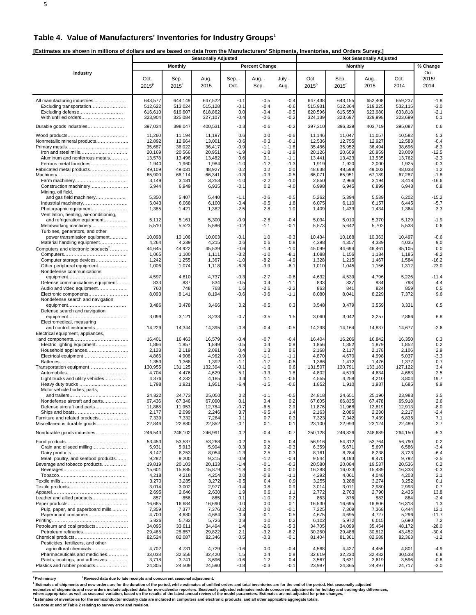#### **Table 4. Value of Manufacturers' Inventories for Industry Groups**<sup>1</sup>

**[Estimates are shown in millions of dollars and are based on data from the Manufacturers' Shipments, Inventories, and Orders Survey.]** 

|                                                                                                                                                                                                                                                       | <b>Seasonally Adjusted</b>                                                                                            |                                                                                                                       |                                                                                                                       |                                                                                                        |                                                                                                        |                                                                                                        | , , , , , , , , , ,<br><b>Not Seasonally Adjusted</b>                                                                 |                                                                                                                       |                                                                                                                       |                                                                                                                       |                                                                                                            |  |
|-------------------------------------------------------------------------------------------------------------------------------------------------------------------------------------------------------------------------------------------------------|-----------------------------------------------------------------------------------------------------------------------|-----------------------------------------------------------------------------------------------------------------------|-----------------------------------------------------------------------------------------------------------------------|--------------------------------------------------------------------------------------------------------|--------------------------------------------------------------------------------------------------------|--------------------------------------------------------------------------------------------------------|-----------------------------------------------------------------------------------------------------------------------|-----------------------------------------------------------------------------------------------------------------------|-----------------------------------------------------------------------------------------------------------------------|-----------------------------------------------------------------------------------------------------------------------|------------------------------------------------------------------------------------------------------------|--|
|                                                                                                                                                                                                                                                       |                                                                                                                       | <b>Monthly</b>                                                                                                        |                                                                                                                       |                                                                                                        | <b>Percent Change</b>                                                                                  |                                                                                                        |                                                                                                                       | <b>Monthly</b>                                                                                                        |                                                                                                                       |                                                                                                                       | % Change                                                                                                   |  |
| Industry                                                                                                                                                                                                                                              | Oct.<br>$2015^{\circ}$                                                                                                | Sep.<br>$2015$ <sup>r</sup>                                                                                           | Aug.<br>2015                                                                                                          | Sep. -<br>Oct.                                                                                         | Aug. -<br>Sep.                                                                                         | July -<br>Aug.                                                                                         | Oct.<br>$2015^p$                                                                                                      | Sep.<br>$2015$ <sup>r</sup>                                                                                           | Aug.<br>2015                                                                                                          | Oct.<br>2014                                                                                                          | Oct.<br>2015/<br>2014                                                                                      |  |
| All manufacturing industries<br>Excluding transportation<br>Excluding defense<br>With unfilled orders                                                                                                                                                 | 643,577<br>512,622<br>616,610<br>323,904                                                                              | 644,149<br>513,024<br>616,607<br>325,084                                                                              | 647,522<br>515,128<br>618,862<br>327,107                                                                              | $-0.1$<br>$-0.1$<br>0.0<br>$-0.4$                                                                      | $-0.5$<br>$-0.4$<br>$-0.4$<br>-0.6                                                                     | $-0.4$<br>$-0.6$<br>$-0.5$<br>$-0.2$                                                                   | 647,438<br>515,931<br>620,596<br>324,139                                                                              | 643,155<br>512,364<br>615,550<br>323,697                                                                              | 652,408<br>519,225<br>623,680<br>329,998                                                                              | 659,237<br>532,115<br>633,818<br>323,699                                                                              | $-1.8$<br>$-3.0$<br>$-2.1$<br>0.1                                                                          |  |
| Durable goods industries                                                                                                                                                                                                                              | 397,034                                                                                                               | 398,047                                                                                                               | 400,531                                                                                                               | $-0.3$                                                                                                 | $-0.6$                                                                                                 | $-0.2$                                                                                                 | 397,310                                                                                                               | 396,329                                                                                                               | 403,719                                                                                                               | 395,087                                                                                                               | 0.6                                                                                                        |  |
| Nonmetallic mineral products<br>Aluminum and nonferrous metals<br>Ferrous metal foundries<br>Fabricated metal products<br>Construction machinery                                                                                                      | 11,260<br>12,892<br>35,687<br>20,169<br>13,578<br>1,940<br>49,109<br>65,900<br>3,149<br>6,944                         | 11,194<br>12,964<br>36,022<br>20,566<br>13,496<br>1,960<br>49,031<br>66,114<br>3,181<br>6,949                         | 11,197<br>13,001<br>36,417<br>20,951<br>13,482<br>1,984<br>48,927<br>66,341<br>3,253<br>6,935                         | 0.6<br>$-0.6$<br>$-0.9$<br>$-1.9$<br>0.6<br>-1.0<br>0.2<br>$-0.3$<br>$-1.0$<br>$-0.1$                  | 0.0<br>-0.3<br>$-1.1$<br>-1.8<br>0.1<br>$-1.2$<br>0.2<br>$-0.3$<br>$-2.2$<br>0.2                       | $-0.6$<br>$-0.1$<br>$-1.6$<br>$-1.9$<br>$-1.1$<br>$-1.3$<br>0.0<br>$-0.5$<br>$-1.0$<br>$-4.0$          | 11,146<br>12,536<br>35,486<br>20,126<br>13,441<br>1,919<br>48,638<br>66,071<br>2,850<br>6,998                         | 11,047<br>12,755<br>35,952<br>20,609<br>13,423<br>1,920<br>48,598<br>65,951<br>2,966<br>6,945                         | 11,057<br>12,927<br>36,494<br>20,959<br>13,535<br>2,000<br>49,003<br>67,189<br>3,194<br>6,899                         | 10,582<br>12,583<br>38,696<br>23,009<br>13,762<br>1,925<br>48,038<br>67,287<br>3,418<br>6,943                         | 5.3<br>$-0.4$<br>$-8.3$<br>$-12.5$<br>$-2.3$<br>$-0.3$<br>1.2<br>$-1.8$<br>$-16.6$<br>0.8                  |  |
| Mining, oil field,<br>and gas field machinery<br>Photographic equipment<br>Ventilation, heating, air-conditioning,                                                                                                                                    | 5,350<br>6,043<br>1,385                                                                                               | 5,407<br>6,068<br>1,421                                                                                               | 5,440<br>6,100<br>1,382                                                                                               | $-1.1$<br>$-0.4$<br>$-2.5$                                                                             | $-0.6$<br>-0.5<br>2.8                                                                                  | $-0.5$<br>1.8<br>1.0                                                                                   | 5,262<br>6,075<br>1,409                                                                                               | 5,394<br>6,110<br>1,433                                                                                               | 5,539<br>6,157<br>1,434                                                                                               | 6,202<br>6,445<br>1,364                                                                                               | $-15.2$<br>$-5.7$<br>3.3                                                                                   |  |
| and refrigeration equipment<br>Metalworking machinery<br>Turbines, generators, and other                                                                                                                                                              | 5,112<br>5,510                                                                                                        | 5,161<br>5,523                                                                                                        | 5,300<br>5,586                                                                                                        | $-0.9$<br>$-0.2$                                                                                       | $-2.6$<br>$-1.1$                                                                                       | $-0.4$<br>$-0.1$                                                                                       | 5,034<br>5,573                                                                                                        | 5,010<br>5,642                                                                                                        | 5,370<br>5,702                                                                                                        | 5,129<br>5,538                                                                                                        | $-1.9$<br>0.6                                                                                              |  |
| power transmission equipment<br>Material handling equipment<br>Computers and electronic products <sup>2</sup><br>Computer storage devices<br>Other peripheral equipment                                                                               | 10,098<br>4,264<br>44,645<br>1,065<br>1,242<br>1,006                                                                  | 10,106<br>4,239<br>44,922<br>1,100<br>1,255<br>1,074                                                                  | 10,003<br>4,215<br>45,539<br>1,111<br>1,367<br>1,118                                                                  | $-0.1$<br>0.6<br>$-0.6$<br>$-3.2$<br>$-1.0$<br>$-6.3$                                                  | 1.0<br>0.6<br>$-1.4$<br>$-1.0$<br>$-8.2$<br>$-3.9$                                                     | $-0.3$<br>0.8<br>$-1.0$<br>$-8.1$<br>$-4.9$<br>$-6.1$                                                  | 10,434<br>4,398<br>45,099<br>1,088<br>1,328<br>1,010                                                                  | 10,168<br>4,357<br>44,694<br>1,156<br>1,215<br>1,045                                                                  | 10,363<br>4,339<br>46,461<br>1,184<br>1,467<br>1,156                                                                  | 10,497<br>4,035<br>45,105<br>1,185<br>1,584<br>1,312                                                                  | $-0.6$<br>9.0<br>0.0<br>$-8.2$<br>$-16.2$<br>$-23.0$                                                       |  |
| Nondefense communications<br>Defense communications equipment<br>Audio and video equipment<br>Electronic components                                                                                                                                   | 4,597<br>833<br>760<br>8,093                                                                                          | 4,610<br>837<br>748<br>8,141                                                                                          | 4,737<br>834<br>768<br>8,194                                                                                          | $-0.3$<br>$-0.5$<br>1.6<br>$-0.6$                                                                      | $-2.7$<br>0.4<br>-2.6<br>-0.6                                                                          | $-0.6$<br>$-1.1$<br>$-2.2$<br>$-1.1$                                                                   | 4,632<br>833<br>863<br>8,080                                                                                          | 4,539<br>837<br>841<br>8,041                                                                                          | 4,796<br>834<br>824<br>8,229                                                                                          | 5,226<br>798<br>859<br>7,372                                                                                          | $-11.4$<br>4.4<br>0.5<br>9.6                                                                               |  |
| Nondefense search and navigation                                                                                                                                                                                                                      | 3,486                                                                                                                 | 3,478                                                                                                                 | 3,496                                                                                                                 | 0.2                                                                                                    | $-0.5$                                                                                                 | 0.3                                                                                                    | 3,548                                                                                                                 | 3,479                                                                                                                 | 3,559                                                                                                                 | 3,331                                                                                                                 | 6.5                                                                                                        |  |
| Defense search and navigation                                                                                                                                                                                                                         | 3,099                                                                                                                 | 3,121                                                                                                                 | 3,233                                                                                                                 | $-0.7$                                                                                                 | $-3.5$                                                                                                 | 1.5                                                                                                    | 3,060                                                                                                                 | 3,042                                                                                                                 | 3,257                                                                                                                 | 2,866                                                                                                                 | 6.8                                                                                                        |  |
| Electromedical, measuring<br>and control instruments<br>Electrical equipment, appliances,                                                                                                                                                             | 14,229                                                                                                                | 14,344                                                                                                                | 14,395                                                                                                                | $-0.8$                                                                                                 | $-0.4$                                                                                                 | $-0.5$                                                                                                 | 14,298                                                                                                                | 14,164                                                                                                                | 14,837                                                                                                                | 14,677                                                                                                                | $-2.6$                                                                                                     |  |
| Electric lighting equipment<br>Transportation equipment<br>Light trucks and utility vehicles                                                                                                                                                          | 16,401<br>1,866<br>2,128<br>4,866<br>1,353<br>130,955<br>4,704<br>4,376<br>1,798                                      | 16,463<br>1,857<br>2,119<br>4,908<br>1,368<br>131,125<br>4,476<br>4,232<br>1,921                                      | 16,579<br>1,849<br>2,091<br>4,962<br>1,392<br>132,394<br>4,629<br>4,185<br>1,951                                      | $-0.4$<br>0.5<br>0.4<br>$-0.9$<br>-1.1<br>$-0.1$<br>5.1<br>3.4<br>-6.4                                 | $-0.7$<br>0.4<br>1.3<br>$-1.1$<br>$-1.7$<br>$-1.0$<br>$-3.3$<br>1.1<br>-1.5                            | $-0.4$<br>0.8<br>0.6<br>$-1.1$<br>$-0.5$<br>0.6<br>1.8<br>$-0.6$<br>$-0.6$                             | 16,404<br>1,856<br>2,168<br>4,870<br>1,386<br>131,507<br>4,802<br>4,555<br>1,852                                      | 16,206<br>1,852<br>2,117<br>4,670<br>1,412<br>130,791<br>4,519<br>4,258<br>1,910                                      | 16,842<br>1,879<br>2,178<br>4,998<br>1,476<br>133,183<br>4,634<br>4,210<br>1,937                                      | 16,350<br>1,852<br>2,106<br>5,037<br>1,377<br>127,122<br>4,683<br>3,804<br>1,685                                      | 0.3<br>0.2<br>2.9<br>$-3.3$<br>0.7<br>3.4<br>2.5<br>19.7<br>9.9                                            |  |
| Motor vehicle bodies, parts,<br>Nondefense aircraft and parts<br>Defense aircraft and parts<br>Ships and boats<br>Furniture and related products<br>Miscellaneous durable goods                                                                       | 24,822<br>67,436<br>11,868<br>2,177<br>7,339<br>22,846                                                                | 24,773<br>67,346<br>11,953<br>2,099<br>7,332<br>22,880                                                                | 25,050<br>67,090<br>12,784<br>2,246<br>7,284<br>22,852                                                                | 0.2<br>0.1<br>$-0.7$<br>3.7<br>0.1<br>$-0.1$                                                           | $-1.1$<br>0.4<br>-6.5<br>$-6.5$<br>0.7<br>0.1                                                          | $-0.5$<br>0.2<br>2.9<br>1.4<br>0.3<br>0.1                                                              | 24,818<br>67,605<br>11,876<br>2,163<br>7,323<br>23,100                                                                | 24,651<br>66,835<br>11,968<br>2,086<br>7,342<br>22,993                                                                | 25,190<br>67,478<br>12,819<br>2,230<br>7,439<br>23,124                                                                | 23,983<br>65,918<br>12,913<br>2,217<br>6,835<br>22,489                                                                | 3.5<br>2.6<br>$-8.0$<br>$-2.4$<br>7.1<br>2.7                                                               |  |
| Nondurable goods industries<br>Grain and oilseed milling<br>Meat, poultry, and seafood products<br>Beverage and tobacco products<br>Leather and allied products                                                                                       | 246,543<br>53,453<br>5,931<br>8,147<br>9,282<br>19,819<br>15,601<br>4,218<br>3,270<br>3,014<br>2,695<br>857<br>16,685 | 246,102<br>53,537<br>5,913<br>8,253<br>9,200<br>20,103<br>15,885<br>4,218<br>3,285<br>3,002<br>2,646<br>856<br>16,684 | 246,991<br>53,268<br>5,904<br>8,054<br>9,315<br>20,133<br>15,879<br>4,254<br>3,272<br>2,977<br>2,630<br>865<br>16,690 | 0.2<br>$-0.2$<br>0.3<br>$-1.3$<br>0.9<br>$-1.4$<br>$-1.8$<br>0.0<br>$-0.5$<br>0.4<br>1.9<br>0.1<br>0.0 | $-0.4$<br>0.5<br>0.2<br>2.5<br>$-1.2$<br>$-0.1$<br>0.0<br>$-0.8$<br>0.4<br>0.8<br>0.6<br>$-1.0$<br>0.0 | $-0.7$<br>0.4<br>$-0.3$<br>0.3<br>$-0.4$<br>$-0.3$<br>0.0<br>$-1.1$<br>0.9<br>0.9<br>1.1<br>0.2<br>0.1 | 250,128<br>56,916<br>6,359<br>8,161<br>9,544<br>20,580<br>16,288<br>4,292<br>3,255<br>3,014<br>2,772<br>863<br>16,530 | 246,826<br>54,312<br>5,671<br>8,284<br>9,193<br>20,084<br>16,023<br>4,061<br>3,288<br>3,011<br>2,763<br>876<br>16,695 | 248,689<br>53,764<br>5,697<br>8,238<br>9,470<br>19,537<br>15,489<br>4,048<br>3,274<br>2,980<br>2,790<br>883<br>16,806 | 264,150<br>56,790<br>6,586<br>8,723<br>9,792<br>20,536<br>16,333<br>4,203<br>3,252<br>2,993<br>2,435<br>884<br>16,318 | $-5.3$<br>0.2<br>$-3.4$<br>$-6.4$<br>$-2.5$<br>0.2<br>$-0.3$<br>2.1<br>0.1<br>0.7<br>13.8<br>$-2.4$<br>1.3 |  |
| Pulp, paper, and paperboard mills<br>Paperboard containers<br>Petroleum and coal products<br>Petroleum refineries<br>Pesticides, fertilizers, and other<br>agricultural chemicals<br>Pharmaceuticals and medicines<br>Paints, coatings, and adhesives | 7,359<br>4,700<br>5,826<br>34,095<br>29,465<br>82,524<br>4,702<br>33,038<br>3,718                                     | 7,377<br>4,680<br>5,782<br>33,611<br>28,857<br>82,087<br>4,731<br>32,556<br>3,741                                     | 7,376<br>4,684<br>5,726<br>34,494<br>29,822<br>82,346<br>4,729<br>32,420<br>3,696                                     | $-0.2$<br>0.4<br>0.8<br>1.4<br>2.1<br>0.5<br>$-0.6$<br>1.5<br>$-0.6$                                   | 0.0<br>$-0.1$<br>1.0<br>$-2.6$<br>$-3.2$<br>-0.3<br>0.0<br>0.4<br>1.2                                  | $-0.1$<br>0.5<br>0.2<br>$-5.3$<br>$-6.2$<br>$-0.1$<br>$-0.4$<br>0.8<br>0.4                             | 7,225<br>4,675<br>6,102<br>34,705<br>30,260<br>81,404<br>4,568<br>32,619<br>3,567                                     | 7,309<br>4,695<br>5,972<br>34,099<br>29,488<br>81,361<br>4,427<br>32,230<br>3,631                                     | 7,368<br>4,727<br>6,015<br>35,454<br>30,812<br>82,689<br>4,455<br>32,482<br>3,619                                     | 6,444<br>5,296<br>5,690<br>48,172<br>43,452<br>82,363<br>4,801<br>30,538<br>3,596                                     | 12.1<br>$-11.7$<br>7.2<br>$-28.0$<br>$-30.4$<br>$-1.2$<br>$-4.9$<br>6.8<br>$-0.8$                          |  |
| Plastics and rubber products                                                                                                                                                                                                                          | 24,305                                                                                                                | 24,509                                                                                                                | 24,590                                                                                                                | $-0.8$                                                                                                 | $-0.3$                                                                                                 | $-0.1$                                                                                                 | 23,987                                                                                                                | 24,365                                                                                                                | 24,497                                                                                                                | 24,717                                                                                                                | $-3.0$                                                                                                     |  |

<sup>p</sup> Preliminary **reliminary Revised data due to late receipts and concurrent seasonal adjustment.** 

<sup>1</sup> Estimates of shipments and new orders are for the duration of the period, while estimates of unfilled orders and total inventories are for the end of the period. Not seasonally adjusted

estimates of shipments and new orders include adjusted data for non-calendar reporters. Seasonally adjusted estimates include concurrent adjustments for holiday and trading-day differences,<br>where appropriate, as well as se

**See note at end of Table 2 relating to survey error and revision.**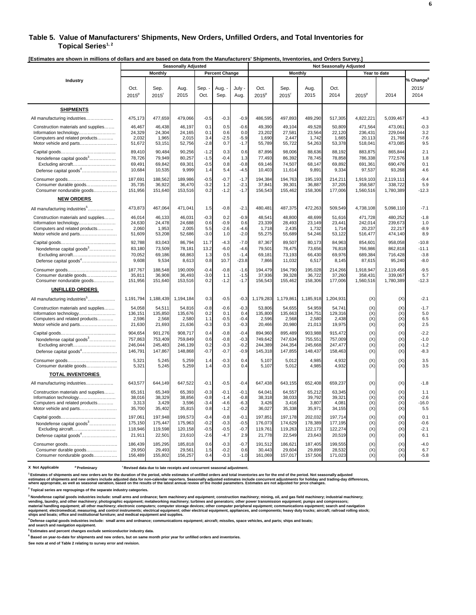#### **Table 5. Value of Manufacturers' Shipments, New Orders, Unfilled Orders, and Total Inventories for**  Topical Series<sup>1,2</sup>

**[Estimates are shown in millions of dollars and are based on data from the Manufacturers' Shipments, Inventories, and Orders Survey.]** 

|                                           | <b>Seasonally Adjusted</b> |                             |              |              |                       |                | <b>Not Seasonally Adjusted</b> |                             |              |              |           |              |                                        |
|-------------------------------------------|----------------------------|-----------------------------|--------------|--------------|-----------------------|----------------|--------------------------------|-----------------------------|--------------|--------------|-----------|--------------|----------------------------------------|
|                                           |                            | Monthly                     |              |              | <b>Percent Change</b> |                |                                | <b>Monthly</b>              |              |              |           | Year to date |                                        |
| Industry                                  | Oct.<br>$2015^p$           | Sep.<br>$2015$ <sup>r</sup> | Aug.<br>2015 | Sep.<br>Oct. | Aug.<br>Sep.          | July -<br>Aug. | Oct.<br>$2015^p$               | Sep.<br>$2015$ <sup>r</sup> | Aug.<br>2015 | Oct.<br>2014 | $2015^p$  | 2014         | % Change <sup>6</sup><br>2015/<br>2014 |
| <b>SHIPMENTS</b>                          |                            |                             |              |              |                       |                |                                |                             |              |              |           |              |                                        |
| All manufacturing industries              | 475,173                    | 477,659                     | 479,066      | $-0.5$       | $-0.3$                | $-0.9$         | 486,595                        | 497,893                     | 489,290      | 517,305      | 4,822,221 | 5,039,467    | $-4.3$                                 |
| Construction materials and supplies       | 46,467                     | 46,438                      | 46,197       | 0.1          | 0.5                   | $-0.6$         | 49,390                         | 49,104                      | 49,528       | 50,809       | 471,564   | 473,061      | $-0.3$                                 |
| Information technology                    | 24,329                     | 24,304                      | 24,165       | 0.1          | 0.6                   | 0.0            | 23,202                         | 27,581                      | 23,564       | 22,120       | 236,431   | 229,044      | 3.2                                    |
| Computers and related products            | 2,032                      | 1.965                       | 2,015        | 3.4          | $-2.5$                | $-5.9$         | 1,690                          | 2,447                       | 1,742        | 1.665        | 20.113    | 21.768       | $-7.6$                                 |
| Motor vehicle and parts                   | 51,672                     | 53,151                      | 52,756       | $-2.8$       | 0.7                   | $-1.7$         | 55,789                         | 55,722                      | 54,263       | 53,378       | 518,041   | 473,085      | 9.5                                    |
|                                           | 89,410                     | 90,484                      | 90,256       | $-1.2$       | 0.3                   | 0.6            | 87,896                         | 98,006                      | 88,636       | 88,192       | 883,875   | 865,844      | 2.1                                    |
| Nondefense capital goods <sup>3</sup>     | 78,726                     | 79.949                      | 80.257       | $-1.5$       | $-0.4$                | 1.3            | 77,493                         | 86.392                      | 78.745       | 78.858       | 786.338   | 772,576      | 1.8                                    |
| Excluding aircraft                        | 69,491                     | 69,842                      | 69,301       | $-0.5$       | 0.8                   | $-0.8$         | 69,146                         | 74,507                      | 68,147       | 69,892       | 691,361   | 690,476      | 0.1                                    |
| Defense capital goods <sup>4</sup>        | 10,684                     | 10,535                      | 9,999        | 1.4          | 5.4                   | $-4.5$         | 10,403                         | 11,614                      | 9,891        | 9,334        | 97,537    | 93,268       | 4.6                                    |
|                                           | 187,691                    | 188.562                     | 189.986      | $-0.5$       | $-0.7$                | $-1.7$         | 194.384                        | 194.763                     | 195.193      | 214.211      | 1.919.103 | 2,119,111    | $-9.4$                                 |
| Consumer durable goods                    | 35,735                     | 36,922                      | 36,470       | $-3.2$       | 1.2                   | $-2.1$         | 37,841                         | 39,301                      | 36,887       | 37,205       | 358,587   | 338,722      | 5.9                                    |
| Consumer nondurable goods                 | 151,956                    | 151,640                     | 153,516      | 0.2          | $-1.2$                | $-1.7$         | 156,543                        | 155,462                     | 158,306      | 177,006      | 1,560,516 | 1,780,389    | $-12.3$                                |
| <b>NEW ORDERS</b>                         |                            |                             |              |              |                       |                |                                |                             |              |              |           |              |                                        |
| All manufacturing industries <sup>5</sup> | 473,873                    | 467,064                     | 471,041      | 1.5          | $-0.8$                | $-2.1$         | 480,481                        | 487,375                     | 472,263      | 509,549      | 4,738,108 | 5,098,110    | $-7.1$                                 |
| Construction materials and supplies       | 46,014                     | 46,133                      | 46,031       | $-0.3$       | 0.2                   | $-0.9$         | 48,541                         | 48,800                      | 48,699       | 51,616       | 471,728   | 480,252      | $-1.8$                                 |
| Information technology                    | 24,630                     | 24,478                      | 24,688       | 0.6          | $-0.9$                | 0.6            | 23,339                         | 28,493                      | 23,149       | 23,441       | 242,014   | 239,673      | 1.0                                    |
| Computers and related products            | 2,060                      | 1,953                       | 2,005        | 5.5          | $-2.6$                | $-4.6$         | 1,718                          | 2,435                       | 1,732        | 1,714        | 20,237    | 22,217       | $-8.9$                                 |
| Motor vehicle and parts                   | 51,609                     | 53,208                      | 52,686       | $-3.0$       | 1.0                   | $-2.0$         | 55,275                         | 55,689                      | 54,246       | 53,122       | 516,477   | 474,140      | 8.9                                    |
|                                           | 92,788                     | 83,043                      | 86,794       | 11.7         | $-4.3$                | $-7.0$         | 87,367                         | 89,507                      | 80,173       | 84,963       | 854,601   | 958,058      | $-10.8$                                |
| Nondefense capital goods <sup>3</sup>     | 83,180                     | 73,509                      | 78,181       | 13.2         | $-6.0$                | $-4.6$         | 79,501                         | 78,475                      | 73,656       | 76,818       | 766,986   | 862,818      | $-11.1$                                |
| Excluding aircraft                        | 70,052                     | 69,186                      | 68,863       | 1.3          | 0.5                   | $-1.4$         | 69,181                         | 73,193                      | 66,430       | 69,976       | 689,384   | 716,428      | $-3.8$                                 |
| Defense capital goods <sup>4</sup>        | 9,608                      | 9,534                       | 8,613        | 0.8          | 10.7                  | $-23.8$        | 7,866                          | 11,032                      | 6,517        | 8,145        | 87,615    | 95,240       | $-8.0$                                 |
|                                           | 187,767                    | 188,548                     | 190,009      | $-0.4$       | $-0.8$                | $-1.6$         | 194,479                        | 194,790                     | 195,028      | 214,266      | 1,918,947 | 2,119,456    | $-9.5$                                 |
| Consumer durable goods                    | 35,811                     | 36,908                      | 36,493       | $-3.0$       | 1.1                   | $-1.5$         | 37,936                         | 39,328                      | 36,722       | 37,260       | 358,431   | 339,067      | 5.7                                    |
| Consumer nondurable goods                 | 151,956                    | 151,640                     | 153,516      | 0.2          | $-1.2$                | $-1.7$         | 156,543                        | 155,462                     | 158,306      | 177,006      | 1,560,516 | 1,780,389    | $-12.3$                                |
| <b>UNFILLED ORDERS</b>                    |                            |                             |              |              |                       |                |                                |                             |              |              |           |              |                                        |
| All manufacturing industries <sup>5</sup> | 1,191,794                  | 1,188,439                   | 1,194,184    | 0.3          | $-0.5$                | $-0.3$         | 1,179,283                      | 1,179,86                    | 1,185,918    | 1,204,931    | (X)       | (X)          | $-2.1$                                 |
| Construction materials and supplies       | 54,058                     | 54,511                      | 54,816       | $-0.8$       | $-0.6$                | $-0.3$         | 53,806                         | 54,655                      | 54,959       | 54,741       | (X)       | (X)          | $-1.7$                                 |
| Information technology                    | 136,151                    | 135.850                     | 135,676      | 0.2          | 0.1                   | 0.4            | 135.800                        | 135.663                     | 134,751      | 129,316      | (X)       | (X)          | 5.0                                    |
| Computers and related products            | 2,596                      | 2,568                       | 2,580        | 1.1          | $-0.5$                | $-0.4$         | 2,596                          | 2,568                       | 2,580        | 2,438        | (X)       | (X)          | 6.5                                    |
| Motor vehicle and parts                   | 21,630                     | 21,693                      | 21,636       | $-0.3$       | 0.3                   | $-0.3$         | 20,466                         | 20,980                      | 21,013       | 19,975       | (X)       | (X)          | 2.5                                    |
|                                           | 904,654                    | 901,276                     | 908,717      | 0.4          | $-0.8$                | $-0.4$         | 894,960                        | 895,489                     | 903,988      | 915,472      | (X)       | (X)          | $-2.2$                                 |
| Nondefense capital goods <sup>3</sup>     | 757,863                    | 753,409                     | 759,849      | 0.6          | $-0.8$                | $-0.3$         | 749,642                        | 747,634                     | 755,551      | 757,009      | (X)       | (X)          | $-1.0$                                 |
| Excluding aircraft                        | 246,044                    | 245,483                     | 246,139      | 0.2          | $-0.3$                | $-0.2$         | 244,389                        | 244,354                     | 245,668      | 247,477      | (X)       | (X)          | $-1.2$                                 |
| Defense capital goods <sup>4</sup>        | 146,791                    | 147,867                     | 148,868      | $-0.7$       | $-0.7$                | $-0.9$         | 145,318                        | 147,855                     | 148,437      | 158,463      | (X)       | (X)          | $-8.3$                                 |
|                                           | 5,321                      | 5,245                       | 5,259        | 1.4          | $-0.3$                | 0.4            | 5,107                          | 5,012                       | 4,985        | 4,932        | (X)       | (X)          | 3.5                                    |
| Consumer durable goods                    | 5,321                      | 5,245                       | 5,259        | 1.4          | $-0.3$                | 0.4            | 5,107                          | 5,012                       | 4,985        | 4,932        | (X)       | (X)          | 3.5                                    |
| <b>TOTAL INVENTORIES</b>                  |                            |                             |              |              |                       |                |                                |                             |              |              |           |              |                                        |
| All manufacturing industries              | 643,577                    | 644,149                     | 647,522      | $-0.1$       | $-0.5$                | $-0.4$         | 647,438                        | 643,155                     | 652,408      | 659,237      | (X)       | (X)          | $-1.8$                                 |
| Construction materials and supplies       | 65,161                     | 65,349                      | 65,393       | $-0.3$       | $-0.1$                | $-0.1$         | 64,041                         | 64,557                      | 65,212       | 63,345       | (X)       | (X)          | 1.1                                    |
| Information technology                    | 38,016                     | 38,329                      | 38,856       | $-0.8$       | $-1.4$                | $-0.8$         | 38,318                         | 38,033                      | 39,792       | 39,321       | (X)       | (X)          | $-2.6$                                 |
| Computers and related products            | 3,313                      | 3,429                       | 3,596        | $-3.4$       | $-4.6$                | $-6.3$         | 3,426                          | 3,416                       | 3,807        | 4,081        | (X)       | (X)          | $-16.0$                                |
| Motor vehicle and parts                   | 35,700                     | 35,402                      | 35,815       | 0.8          | $-1.2$                | $-0.2$         | 36,027                         | 35,338                      | 35,971       | 34,155       | (X)       | (X)          | 5.5                                    |
|                                           | 197,061                    | 197,948                     | 199,573      | $-0.4$       | $-0.8$                | $-0.1$         | 197,851                        | 197,178                     | 202,032      | 197,714      | (X)       | (X)          | 0.1                                    |
| Nondefense capital goods <sup>3</sup>     | 175,150                    | 175,447                     | 175,963      | $-0.2$       | $-0.3$                | $-0.5$         | 176,073                        | 174,629                     | 178,389      | 177,195      | (X)       | (X)          | $-0.6$                                 |
| Excluding aircraft                        | 118,946                    | 119,598                     | 120,158      | $-0.5$       | $-0.5$                | $-0.7$         | 119,761                        | 119,263                     | 122,173      | 122,274      | (X)       | (X)          | $-2.1$                                 |
| Defense capital goods <sup>4</sup>        | 21,911                     | 22,501                      | 23,610       | $-2.6$       | $-4.7$                | 2.9            | 21,778                         | 22,549                      | 23,643       | 20,519       | (X)       | (X)          | 6.1                                    |
|                                           | 186,439                    | 185,295                     | 185,818      | 0.6          | $-0.3$                | $-0.7$         | 191,512                        | 186,621                     | 187.405      | 199.555      | (X)       | (X)          | $-4.0$                                 |
| Consumer durable goods                    | 29,950                     | 29,493                      | 29,561       | 1.5          | $-0.2$                | 0.6            | 30,443                         | 29,604                      | 29,899       | 28,532       | (X)       | (X)          | 6.7                                    |
| Consumer nondurable goods                 | 156,489                    | 155,802                     | 156,257      | 0.4          | $-0.3$                | $-1.0$         | 161,069                        | 157,017                     | 157,506      | 171,023      | (X)       | (X)          | $-5.8$                                 |

**X** Not Applicable <sup>p</sup> Preliminary <sup>r</sup> Revised data due to late receipts and concurrent seasonal adjustment.

.<br>Estimates of shipments and new orders are for the duration of the period, while estimates of unfilled orders and total inventories are for the end of the period. Not seasonally adjusted<br>estimates of shipments and new ord

**2 Topical series are regroupings of the separate industry categories.**

<sup>3</sup> Nondefense capital goods industries include: small arms and ordnance; farm machinery and equipment; construction machinery; mining, oil, and gas field machinery; industrial machinery;<br>vending, laundry, and other machin

**4 Defense capital goods industries include: small arms and ordnance; communications equipment; aircraft; missiles, space vehicles, and parts; ships and boats; and search and navigation equipment.**

**5 Estimates and percent changes exclude semiconductor industry data.** 

**6 Based on year-to-date for shipments and new orders, but on same month prior year for unfilled orders and inventories.**

**See note at end of Table 2 relating to survey error and revision.**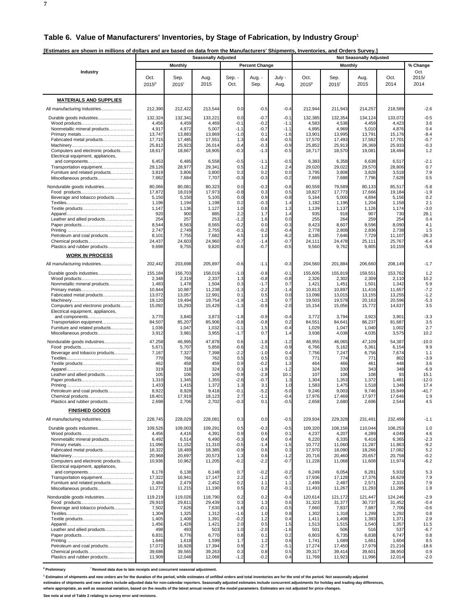**7**

| [Estimates are shown in millions of dollars and are based on data from the Manufacturers' Shipments, Inventories, and Orders Survey.] |  |
|---------------------------------------------------------------------------------------------------------------------------------------|--|
|                                                                                                                                       |  |

|                                                          | <b>Seasonally Adjusted</b> |                     |                  |                  |                       |                  |                  | <br><b>Not Seasonally Adjusted</b> |                  |                  |                  |  |  |  |
|----------------------------------------------------------|----------------------------|---------------------|------------------|------------------|-----------------------|------------------|------------------|------------------------------------|------------------|------------------|------------------|--|--|--|
|                                                          |                            | Monthly             |                  |                  | <b>Percent Change</b> |                  |                  | Monthly                            |                  |                  | % Change         |  |  |  |
| Industry                                                 |                            |                     |                  |                  |                       |                  |                  |                                    |                  |                  | Oct.             |  |  |  |
|                                                          | Oct.                       | Sep.                | Aug.             | Sep. -           | Aug. -                | July -           | Oct.             | Sep.                               | Aug.             | Oct.             | 2015/            |  |  |  |
|                                                          | $2015^p$                   | $2015$ <sup>r</sup> | 2015             | Oct.             | Sep.                  | Aug.             | $2015^p$         | $2015$ <sup>r</sup>                | 2015             | 2014             | 2014             |  |  |  |
|                                                          |                            |                     |                  |                  |                       |                  |                  |                                    |                  |                  |                  |  |  |  |
| <b>MATERIALS AND SUPPLIES</b>                            |                            |                     |                  |                  |                       |                  |                  |                                    |                  |                  |                  |  |  |  |
| All manufacturing industries                             | 212,390                    | 212,422             | 213,544          | 0.0              | $-0.5$                | $-0.4$           | 212,944          | 211,943                            | 214,257          | 218,589          | $-2.6$           |  |  |  |
| Durable goods industries                                 | 132,324<br>4,456           | 132,341             | 133,221          | 0.0              | $-0.7$<br>$-0.2$      | $-0.1$           | 132,385          | 132,354                            | 134,124          | 133,072<br>4,423 | $-0.5$<br>3.6    |  |  |  |
| Nonmetallic mineral products                             | 4,917                      | 4,459<br>4,972      | 4,469<br>5,007   | $-0.1$<br>$-1.1$ | $-0.7$                | $-1.1$<br>$-1.1$ | 4,583<br>4,895   | 4,538<br>4,969                     | 4,459<br>5,010   | 4,876            | 0.4              |  |  |  |
|                                                          | 13,747                     | 13,883              | 13,869           | $-1.0$           | 0.1                   | $-1.6$           | 13,901           | 13,995                             | 13,791           | 15,176           | $-8.4$           |  |  |  |
| Fabricated metal products                                | 17,715<br>25,812           | 17,485<br>25,923    | 17,551<br>26,014 | 1.3<br>$-0.4$    | $-0.4$<br>$-0.3$      | $-0.5$<br>$-0.9$ | 17,570<br>25,852 | 17,493<br>25,913                   | 17,582<br>26,369 | 17,701<br>25,933 | $-0.7$<br>$-0.3$ |  |  |  |
| Computers and electronic products                        | 18,617                     | 18,667              | 18,905           | $-0.3$           | $-1.3$                | $-0.5$           | 18,717           | 18,570                             | 19,081           | 18,494           | 1.2              |  |  |  |
| Electrical equipment, appliances,                        |                            |                     |                  |                  |                       |                  |                  |                                    |                  |                  |                  |  |  |  |
| and components<br>Transportation equipment               | 6,453<br>29,126            | 6,485<br>28,977     | 6,558<br>29,341  | $-0.5$<br>0.5    | $-1.1$<br>$-1.2$      | $-0.5$<br>2.4    | 6,383<br>29,020  | 6,358<br>29,022                    | 6,638<br>29,570  | 6,517<br>28,806  | $-2.1$<br>0.7    |  |  |  |
| Furniture and related products                           | 3,819                      | 3,806               | 3,800            | 0.3              | 0.2                   | 0.0              | 3,795            | 3,808                              | 3,828            | 3,518            | 7.9              |  |  |  |
| Miscellaneous products                                   | 7,662                      | 7,684               | 7,707            | $-0.3$           | $-0.3$                | $-0.2$           | 7,669            | 7,688                              | 7,796            | 7,628            | 0.5              |  |  |  |
| Nondurable goods industries                              | 80,066                     | 80,081              | 80,323           | 0.0              | $-0.3$                | $-0.8$           | 80,559           | 79,589                             | 80,133           | 85,517           | $-5.8$           |  |  |  |
| Beverage and tobacco products                            | 17,872<br>5,150            | 18,019<br>5,150     | 17,973<br>5,105  | $-0.8$<br>0.0    | 0.3<br>0.9            | 0.5<br>$-0.8$    | 18,827<br>5,164  | 17,773<br>5,000                    | 17,666<br>4,894  | 19,184<br>5,156  | $-1.9$<br>0.2    |  |  |  |
|                                                          | 1,196                      | 1,194               | 1,198            | 0.2              | -0.3                  | 1.4              | 1,182            | 1,196                              | 1,204            | 1,158            | 2.1              |  |  |  |
|                                                          | 1,147<br>920               | 1,136<br>900        | 1,127<br>885     | 1.0<br>2.2       | 0.8<br>1.7            | 1.3<br>1.4       | 1,139<br>935     | 1,137<br>918                       | 1,126<br>907     | 1,174<br>730     | $-3.0$<br>28.1   |  |  |  |
| Leather and allied products                              | 254                        | 257                 | 253              | $-1.2$           | 1.6                   | 0.0              | 255              | 264                                | 259              | 254              | 0.4              |  |  |  |
|                                                          | 8,544                      | 8,563               | 8,565            | $-0.2$           | 0.0                   | $-0.3$           | 8,423            | 8,607                              | 8,596            | 8,090            | 4.1              |  |  |  |
| Petroleum and coal products                              | 2,747<br>8,101             | 2,749<br>7,755      | 2,755<br>7,682   | $-0.1$<br>4.5    | $-0.2$<br>1.0         | $-0.4$<br>$-6.2$ | 2,778<br>8,185   | 2,808<br>7,646                     | 2,836<br>7,729   | 2,738<br>11,107  | 1.5<br>$-26.3$   |  |  |  |
| Chemical products                                        | 24,437                     | 24,603              | 24,960           | $-0.7$           | $-1.4$                | $-0.7$           | 24,111           | 24,478                             | 25,111           | 25,767           | $-6.4$           |  |  |  |
| Plastics and rubber products                             | 9,698                      | 9,755               | 9,820            | $-0.6$           | $-0.7$                | $-0.5$           | 9,560            | 9,762                              | 9,805            | 10,159           | $-5.9$           |  |  |  |
| <b>WORK IN PROCESS</b>                                   |                            |                     |                  |                  |                       |                  |                  |                                    |                  |                  |                  |  |  |  |
| All manufacturing industries                             | 202,442                    | 203,698             | 205,897          | $-0.6$           | $-1.1$                | $-0.3$           | 204,560          | 201,884                            | 206,660          | 208,149          | $-1.7$           |  |  |  |
| Durable goods industries                                 | 155,184                    | 156,703             | 158,019          | $-1.0$           | $-0.8$                | $-0.1$           | 155,605          | 155,819                            | 159,551          | 153,762          | 1.2              |  |  |  |
|                                                          | 2,348                      | 2,319               | 2,337            | 1.3              | $-0.8$                | $-0.8$           | 2,326            | 2,302                              | 2,309            | 2,110            | 10.2             |  |  |  |
| Nonmetallic mineral products                             | 1,483                      | 1,478               | 1,504            | 0.3              | $-1.7$                | 0.7              | 1,421            | 1,451                              | 1,501            | 1,342            | 5.9              |  |  |  |
| Fabricated metal products                                | 10,844<br>13,072           | 10,987<br>13,057    | 11,238<br>12,991 | $-1.3$<br>0.1    | $-2.2$<br>0.5         | -1.4<br>0.0      | 10,813<br>13,098 | 10,897<br>13,015                   | 11,416<br>13,155 | 11,657<br>13,255 | $-7.2$<br>$-1.2$ |  |  |  |
|                                                          | 19,120                     | 19,494              | 19,754           | $-1.9$           | $-1.3$                | 0.7              | 19,503           | 19,578                             | 20,163           | 20,596           | $-5.3$           |  |  |  |
| Computers and electronic products                        | 15,092                     | 15,293              | 15,429           | $-1.3$           | $-0.9$                | $-2.0$           | 15,154           | 15,056                             | 15,772           | 14,637           | 3.5              |  |  |  |
| Electrical equipment, appliances,                        | 3,770                      | 3,840               | 3,873            | $-1.8$           | $-0.9$                | $-0.4$           | 3,772            | 3,794                              | 3,923            | 3,901            | $-3.3$           |  |  |  |
| Transportation equipment                                 | 84,507                     | 85,207              | 85,906           | $-0.8$           | $-0.8$                | 0.2              | 84,551           | 84,641                             | 86,237           | 81,687           | 3.5              |  |  |  |
| Furniture and related products<br>Miscellaneous products | 1,036<br>3,912             | 1,047<br>3,981      | 1,032<br>3,955   | $-1.1$<br>$-1.7$ | 1.5<br>0.7            | $-0.4$<br>1.4    | 1,029<br>3,938   | 1,047<br>4,038                     | 1,040<br>4,035   | 1,002<br>3,575   | 2.7<br>10.2      |  |  |  |
|                                                          |                            |                     |                  |                  |                       |                  |                  |                                    |                  |                  | $-10.0$          |  |  |  |
| Nondurable goods industries                              | 47,258<br>5,671            | 46,995<br>5,707     | 47,878<br>5,856  | 0.6<br>$-0.6$    | $-1.8$<br>$-2.5$      | $-1.2$<br>$-0.9$ | 48,955<br>6,766  | 46,065<br>5,162                    | 47,109<br>5,361  | 54,387<br>6,154  | 9.9              |  |  |  |
| Beverage and tobacco products                            | 7,167                      | 7,327               | 7,398            | $-2.2$           | $-1.0$                | 0.4              | 7,756            | 7,247                              | 6,756            | 7,674            | 1.1              |  |  |  |
|                                                          | 770<br>462                 | 766<br>458          | 762<br>459       | 0.5<br>0.9       | 0.5<br>$-0.2$         | 0.3<br>1.3       | 771<br>464       | 774<br>466                         | 771<br>461       | 802<br>448       | $-3.9$<br>3.6    |  |  |  |
|                                                          | 319                        | 318                 | 324              | 0.3              | $-1.9$                | $-1.2$           | 324              | 330                                | 343              | 348              | $-6.9$           |  |  |  |
| Leather and allied products                              | 105                        | 106                 | 109              | $-0.9$           | $-2.8$                | 10.1             | 107              | 106                                | 108              | 93               | 15.1             |  |  |  |
|                                                          | 1,310<br>1,433             | 1,345<br>1,415      | 1,355<br>1,372   | $-2.6$<br>1.3    | $-0.7$<br>3.1         | 1.3<br>1.0       | 1,304<br>1,583   | 1,353<br>1,475                     | 1,372<br>1,518   | 1,481<br>1,348   | $-12.0$<br>17.4  |  |  |  |
| Petroleum and coal products                              | 8,922                      | 8,928               | 9,418            | $-0.1$           | $-5.2$                | $-5.0$           | 9,246            | 9,003                              | 9,746            | 15,849           | $-41.7$          |  |  |  |
| Chemical products<br>Plastics and rubber products        | 18,401<br>2,698            | 17,919<br>2,706     | 18,123<br>2,702  | 2.7<br>-0.3      | $-1.1$<br>0.1         | $-0.4$<br>-0.5   | 17,976<br>2,658  | 17,469<br>2,680                    | 17,977<br>2,696  | 17,646<br>2,544  | 1.9<br>4.5       |  |  |  |
|                                                          |                            |                     |                  |                  |                       |                  |                  |                                    |                  |                  |                  |  |  |  |
| <b>FINISHED GOODS</b>                                    |                            |                     |                  |                  |                       |                  |                  |                                    |                  |                  |                  |  |  |  |
| All manufacturing industries                             | 228,745                    | 228,029             | 228,081          | 0.3              | 0.0                   | $-0.5$           | 229,934          | 229,328                            | 231,491          | 232,499          | -1.1             |  |  |  |
| Durable goods industries                                 | 109,526                    | 109,003             | 109,291          | 0.5              | $-0.3$                | $-0.5$           | 109,320          | 108,156                            | 110,044          | 108,253          | 1.0              |  |  |  |
| Nonmetallic mineral products                             | 4,456<br>6,492             | 4,416<br>6,514      | 4,391<br>6,490   | 0.9<br>$-0.3$    | 0.6<br>0.4            | 0.1<br>0.4       | 4,237<br>6,220   | 4,207<br>6,335                     | 4,289<br>6,416   | 4,049<br>6,365   | 4.6<br>$-2.3$    |  |  |  |
|                                                          | 11,096                     | 11,152              | 11,310           | $-0.5$           | $-1.4$                | $-1.5$           | 10,772           | 11,060                             | 11,287           | 11,863           | $-9.2$           |  |  |  |
| Fabricated metal products                                | 18,322<br>20,968           | 18,489              | 18,385           | $-0.9$           | 0.6                   | 0.3              | 17,970           | 18,090                             | 18,266           | 17,082<br>20,758 | 5.2<br>$-0.2$    |  |  |  |
| Computers and electronic products                        | 10,936                     | 20,697<br>10,962    | 20,573<br>11,205 | 1.3<br>$-0.2$    | 0.6<br>$-2.2$         | $-1.2$<br>$-0.7$ | 20,716<br>11,228 | 20,460<br>11,068                   | 20,657<br>11,608 | 11,974           | $-6.2$           |  |  |  |
| Electrical equipment, appliances,                        |                            |                     |                  |                  |                       |                  |                  |                                    |                  |                  |                  |  |  |  |
| and components<br>Transportation equipment               | 6,178<br>17,322            | 6,138<br>16,941     | 6,148<br>17,147  | 0.7<br>2.2       | $-0.2$<br>$-1.2$      | $-0.2$<br>$-0.7$ | 6,249<br>17,936  | 6,054<br>17,128                    | 6,281<br>17,376  | 5,932<br>16,629  | 5.3<br>7.9       |  |  |  |
| Furniture and related products                           | 2,484                      | 2,479               | 2,452            | 0.2              | 1.1                   | 1.1              | 2,499            | 2,487                              | 2,571            | 2,315            | 7.9              |  |  |  |
| Miscellaneous products                                   | 11,272                     | 11,215              | 11,190           | 0.5              | 0.2                   | $-0.1$           | 11,493           | 11,267                             | 11,293           | 11,286           | 1.8              |  |  |  |
| Nondurable goods industries                              | 119,219                    | 119,026             | 118,790          | 0.2              | 0.2                   | $-0.4$           | 120,614          | 121,172                            | 121,447          | 124,246          | $-2.9$           |  |  |  |
|                                                          | 29,910                     | 29,811              | 29,439           | 0.3              | 1.3                   | 0.6              | 31,323           | 31,377                             | 30,737           | 31,452           | $-0.4$           |  |  |  |
| Beverage and tobacco products                            | 7,502<br>1,304             | 7,626<br>1,325      | 7,630<br>1,312   | $-1.6$<br>$-1.6$ | $-0.1$<br>1.0         | $-0.5$<br>0.8    | 7,660<br>1,302   | 7,837<br>1,318                     | 7,887<br>1,299   | 7,706<br>1,292   | $-0.6$<br>0.8    |  |  |  |
|                                                          | 1,405                      | 1,408               | 1,391            | $-0.2$           | 1.2                   | 0.4              | 1,411            | 1,408                              | 1,393            | 1,371            | 2.9              |  |  |  |
|                                                          | 1,456<br>498               | 1,428<br>493        | 1,421<br>503     | 2.0<br>1.0       | 0.5<br>$-2.0$         | 1.5<br>$-1.6$    | 1,513<br>501     | 1,515<br>506                       | 1,540<br>516     | 1,357<br>537     | 11.5             |  |  |  |
| Leather and allied products                              | 6,831                      | 6,776               | 6,770            | 0.8              | 0.1                   | 0.2              | 6,803            | 6,735                              | 6,838            | 6,747            | $-6.7$<br>0.8    |  |  |  |
|                                                          | 1,646                      | 1,618               | 1,599            | 1.7              | 1.2                   | 0.6              | 1,741            | 1,689                              | 1,661            | 1,604            | 8.5              |  |  |  |
| Petroleum and coal products<br>Chemical products         | 17,072<br>39,686           | 16,928<br>39,565    | 17,394<br>39,263 | 0.9<br>0.3       | $-2.7$<br>0.8         | $-5.1$<br>0.5    | 17,274<br>39,317 | 17,450<br>39,414                   | 17,979<br>39,601 | 21,216<br>38,950 | $-18.6$<br>0.9   |  |  |  |
| Plastics and rubber products                             | 11,909                     | 12,048              | 12,068           | $-1.2$           | $-0.2$                | 0.4              | 11,769           | 11,923                             | 11,996           | 12,014           | $-2.0$           |  |  |  |

<sup>p</sup> Preliminary <sup>r</sup> Revised data due to late receipts and concurrent seasonal adjustment.

<sup>1</sup> Estimates of shipments and new orders are for the duration of the period, while estimates of unfilled orders and total inventories are for the end of the period. Not seasonally adjusted

estimates of shipments and new orders include adjusted data for non-calendar reporters. Seasonally adjusted estimates include concurrent adjustments for holiday and trading-day differences,<br>where appropriate, as well as se

**See note at end of Table 2 relating to survey error and revisions.**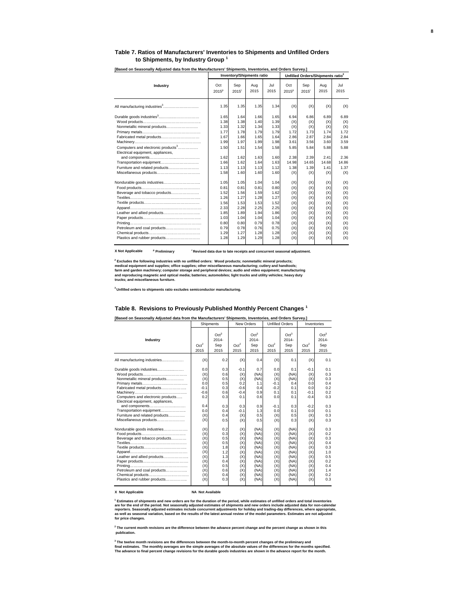#### **Table 7. Ratios of Manufacturers' Inventories to Shipments and Unfilled Orders to Shipments, by Industry Group <sup>1</sup>**

|                                                                                                                                                                                                                |                                                                                                      | <b>Inventory/Shipments ratio</b>                                                                     |                                                                                                      | Unfilled Orders/Shipments ratio <sup>2</sup>                                                         |                                                                                         |                                                                                         |                                                                                         |                                                                                         |  |
|----------------------------------------------------------------------------------------------------------------------------------------------------------------------------------------------------------------|------------------------------------------------------------------------------------------------------|------------------------------------------------------------------------------------------------------|------------------------------------------------------------------------------------------------------|------------------------------------------------------------------------------------------------------|-----------------------------------------------------------------------------------------|-----------------------------------------------------------------------------------------|-----------------------------------------------------------------------------------------|-----------------------------------------------------------------------------------------|--|
| Industry                                                                                                                                                                                                       | Oct<br>$2015^p$                                                                                      | Sep<br>$2015$ <sup>r</sup>                                                                           | Aug<br>2015                                                                                          | Jul.<br>2015                                                                                         | Oct<br>$2015^p$                                                                         | Sep<br>$2015$ <sup>r</sup>                                                              | Aug<br>2015                                                                             | Jul<br>2015                                                                             |  |
|                                                                                                                                                                                                                | 1.35                                                                                                 | 1.35                                                                                                 | 1.35                                                                                                 | 1.34                                                                                                 | (X)                                                                                     | (X)                                                                                     | (X)                                                                                     | (X)                                                                                     |  |
| Nonmetallic mineral products<br>Fabricated metal products<br>Computers and electronic products <sup>3</sup><br>Electrical equipment, appliances,<br>Transportation equipment<br>Furniture and related products | 1.65<br>1.38<br>1.33<br>1.77<br>1.67<br>1.99<br>1.50<br>1.62<br>1.66<br>1.13                         | 1.64<br>1.38<br>1.32<br>1.78<br>1.66<br>1.97<br>1.51<br>1.62<br>1.62<br>1.13                         | 1.66<br>1.40<br>1.34<br>1.79<br>1.65<br>1.99<br>1.54<br>1.63<br>1.64<br>1.13                         | 1.65<br>1.39<br>1.33<br>1.79<br>1.64<br>1.98<br>1.58<br>1.60<br>1.63<br>1.12                         | 6.94<br>(X)<br>(X)<br>1.72<br>2.86<br>3.61<br>5.85<br>2.38<br>14.98<br>1.38             | 6.86<br>(X)<br>(X)<br>1.73<br>2.87<br>3.56<br>5.84<br>2.39<br>14.65<br>1.39             | 6.89<br>(X)<br>(X)<br>1.74<br>2.84<br>3.60<br>5.88<br>2.41<br>14.68<br>1.41             | 6.89<br>(X)<br>(X)<br>1.72<br>2.84<br>3.59<br>5.88<br>2.36<br>14.86<br>1.37             |  |
| Beverage and tobacco products<br>Leather and allied products<br>Petroleum and coal products<br>Plastics and rubber products                                                                                    | 1.58<br>1.05<br>0.81<br>1.52<br>1.26<br>1.56<br>2.33<br>1.85<br>1.03<br>0.80<br>0.79<br>1.29<br>1.28 | 1.60<br>1.05<br>0.81<br>1.56<br>1.27<br>1.53<br>2.28<br>1.89<br>1.04<br>0.80<br>0.78<br>1.27<br>1.29 | 1.60<br>1.04<br>0.81<br>1.59<br>1.28<br>1.53<br>2.25<br>1.94<br>1.04<br>0.79<br>0.76<br>1.28<br>1.29 | 1.60<br>1.04<br>0.80<br>1.62<br>1.27<br>1.52<br>2.25<br>1.86<br>1.04<br>0.78<br>0.75<br>1.28<br>1.28 | (X)<br>(X)<br>(X)<br>(X)<br>(X)<br>(X)<br>(X)<br>(X)<br>(X)<br>(X)<br>(X)<br>(X)<br>(X) | (X)<br>(X)<br>(X)<br>(X)<br>(X)<br>(X)<br>(X)<br>(X)<br>(X)<br>(X)<br>(X)<br>(X)<br>(X) | (X)<br>(X)<br>(X)<br>(X)<br>(X)<br>(X)<br>(X)<br>(X)<br>(X)<br>(X)<br>(X)<br>(X)<br>(X) | (X)<br>(X)<br>(X)<br>(X)<br>(X)<br>(X)<br>(X)<br>(X)<br>(X)<br>(X)<br>(X)<br>(X)<br>(X) |  |

**[Based on Seasonally Adjusted data from the Manufacturers' Shipments, Inventories, and Orders Survey.]** 

**X Not Applicable <sup>p</sup>** <sup>r</sup> Revised data due to late receipts and concurrent seasonal adjustment.

<sup>2</sup> Excludes the following industries with no unfilled orders: Wood products; nonmetallic mineral products;<br>medical equipment and supplies; office supplies; other miscellaneous manufacturing; cutlery and handtools;<br>farm an

**3 Unfilled orders to shipments ratio excludes semiconductor manufacturing.**

#### **Table 8. Revisions to Previously Published Monthly Percent Changes 1**

|                                                                                                                                                                                                                                                                           |                                                                                  | Shipments                                                                        | New Orders                                                                            |                                                                                              | <b>Unfilled Orders</b>                                                             |                                                                                              | Inventories                                                                           |                                                                                  |
|---------------------------------------------------------------------------------------------------------------------------------------------------------------------------------------------------------------------------------------------------------------------------|----------------------------------------------------------------------------------|----------------------------------------------------------------------------------|---------------------------------------------------------------------------------------|----------------------------------------------------------------------------------------------|------------------------------------------------------------------------------------|----------------------------------------------------------------------------------------------|---------------------------------------------------------------------------------------|----------------------------------------------------------------------------------|
| Industry                                                                                                                                                                                                                                                                  | Oct <sup>2</sup><br>2015                                                         | Oct <sup>3</sup><br>$2014 -$<br>Sep<br>2015                                      | Oct <sup>2</sup><br>2015                                                              | Oct <sup>3</sup><br>2014-<br>Sep<br>2015                                                     | Oct <sup>2</sup><br>2015                                                           | Oct <sup>3</sup><br>$2014 -$<br>Sep<br>2015                                                  | Oct <sup>2</sup><br>2015                                                              | Oct <sup>3</sup><br>$2014 -$<br>Sep<br>2015                                      |
| All manufacturing industries                                                                                                                                                                                                                                              | (X)                                                                              | 0.2                                                                              | (X)                                                                                   | 0.4                                                                                          | (X)                                                                                | 0.1                                                                                          | (X)                                                                                   | 0.1                                                                              |
| Durable goods industries<br>Nonmetallic mineral products<br>Fabricated metal products<br>Computers and electronic products<br>Electrical equipment, appliances,<br>and components<br>Transportation equipment<br>Furniture and related products<br>Miscellaneous products | 0.0<br>(X)<br>(X)<br>0.0<br>$-0.1$<br>$-0.6$<br>0.2<br>0.4<br>0.0<br>(X)<br>(X)  | 0.3<br>0.6<br>0.5<br>0.5<br>0.3<br>0.6<br>0.3<br>0.3<br>0.4<br>0.4<br>0.5        | $-0.1$<br>(X)<br>(X)<br>0.2<br>$-0.6$<br>$-0.4$<br>0.1<br>0.3<br>$-0.1$<br>(X)<br>(X) | 0.7<br>(NA)<br>(NA)<br>1.1<br>0.4<br>0.9<br>0.6<br>0.9<br>1.3<br>0.5<br>0.5                  | 0.0<br>(X)<br>(X)<br>$-0.1$<br>$-0.2$<br>0.1<br>0.0<br>$-0.1$<br>0.0<br>(X)<br>(X) | 0.1<br>(NA)<br>(NA)<br>0.4<br>0.1<br>0.1<br>0.1<br>0.3<br>0.1<br>0.5<br>0.3                  | $-0.1$<br>(X)<br>(X)<br>0.0<br>0.0<br>$-0.1$<br>$-0.4$<br>$-0.2$<br>0.0<br>(X)<br>(X) | 0.1<br>0.3<br>0.3<br>0.4<br>0.2<br>0.2<br>0.3<br>0.3<br>0.1<br>0.3<br>0.3        |
| Nondurable goods industries<br>Beverage and tobacco products<br>Leather and allied products<br>Petroleum and coal products<br>Chemical products<br>Plastics and rubber products                                                                                           | (X)<br>(X)<br>(X)<br>(X)<br>(X)<br>(X)<br>(X)<br>(X)<br>(X)<br>(X)<br>(X)<br>(X) | 0.2<br>0.3<br>0.5<br>0.5<br>1.8<br>1.2<br>1.3<br>0.4<br>0.5<br>0.6<br>0.4<br>0.3 | (X)<br>(X)<br>(X)<br>(X)<br>(X)<br>(X)<br>(X)<br>(X)<br>(X)<br>(X)<br>(X)<br>(X)      | (NA)<br>(NA)<br>(NA)<br>(NA)<br>(NA)<br>(NA)<br>(NA)<br>(NA)<br>(NA)<br>(NA)<br>(NA)<br>(NA) | (X)<br>(X)<br>(X)<br>(X)<br>(X)<br>(X)<br>(X)<br>(X)<br>(X)<br>(X)<br>(X)<br>(X)   | (NA)<br>(NA)<br>(NA)<br>(NA)<br>(NA)<br>(NA)<br>(NA)<br>(NA)<br>(NA)<br>(NA)<br>(NA)<br>(NA) | (X)<br>(X)<br>(X)<br>(X)<br>(X)<br>(X)<br>(X)<br>(X)<br>(X)<br>(X)<br>(X)<br>(X)      | 0.3<br>0.2<br>0.3<br>0.4<br>0.3<br>1.0<br>0.5<br>0.2<br>0.4<br>1.4<br>0.2<br>0.3 |

#### **X Not Applicable NA Not Available**

<sup>1</sup> Estimates of shipments and new orders are for the duration of the period, while estimates of unfilled orders and total inventories<br>are for the end of the period. Not seasonally adjusted estimates of shipments and new o

**2 The current month revisions are the difference between the advance percent change and the percent change as shown in this publication.**

<sup>3</sup> The twelve month revisions are the differences between the month-to-month percent changes of the preliminary and<br>final estimates. The monthly averages are the simple averages of the absolute values of the differences f